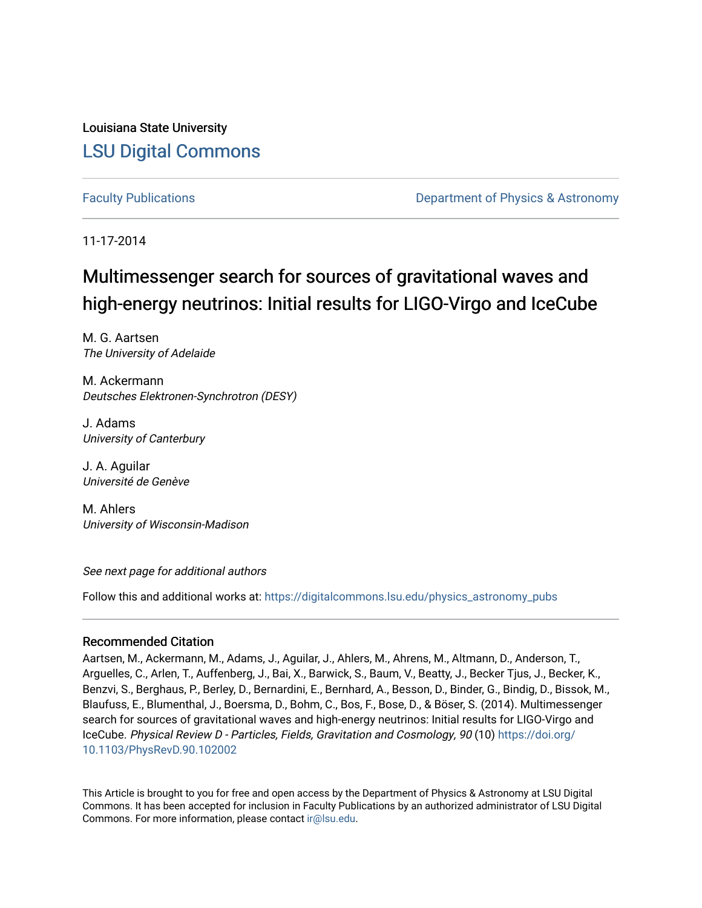Louisiana State University [LSU Digital Commons](https://digitalcommons.lsu.edu/)

[Faculty Publications](https://digitalcommons.lsu.edu/physics_astronomy_pubs) **Example 2** Constant Department of Physics & Astronomy

11-17-2014

# Multimessenger search for sources of gravitational waves and high-energy neutrinos: Initial results for LIGO-Virgo and IceCube

M. G. Aartsen The University of Adelaide

M. Ackermann Deutsches Elektronen-Synchrotron (DESY)

J. Adams University of Canterbury

J. A. Aguilar Université de Genève

M. Ahlers University of Wisconsin-Madison

See next page for additional authors

Follow this and additional works at: [https://digitalcommons.lsu.edu/physics\\_astronomy\\_pubs](https://digitalcommons.lsu.edu/physics_astronomy_pubs?utm_source=digitalcommons.lsu.edu%2Fphysics_astronomy_pubs%2F1112&utm_medium=PDF&utm_campaign=PDFCoverPages) 

# Recommended Citation

Aartsen, M., Ackermann, M., Adams, J., Aguilar, J., Ahlers, M., Ahrens, M., Altmann, D., Anderson, T., Arguelles, C., Arlen, T., Auffenberg, J., Bai, X., Barwick, S., Baum, V., Beatty, J., Becker Tjus, J., Becker, K., Benzvi, S., Berghaus, P., Berley, D., Bernardini, E., Bernhard, A., Besson, D., Binder, G., Bindig, D., Bissok, M., Blaufuss, E., Blumenthal, J., Boersma, D., Bohm, C., Bos, F., Bose, D., & Böser, S. (2014). Multimessenger search for sources of gravitational waves and high-energy neutrinos: Initial results for LIGO-Virgo and IceCube. Physical Review D - Particles, Fields, Gravitation and Cosmology, 90 (10) [https://doi.org/](https://doi.org/10.1103/PhysRevD.90.102002) [10.1103/PhysRevD.90.102002](https://doi.org/10.1103/PhysRevD.90.102002) 

This Article is brought to you for free and open access by the Department of Physics & Astronomy at LSU Digital Commons. It has been accepted for inclusion in Faculty Publications by an authorized administrator of LSU Digital Commons. For more information, please contact [ir@lsu.edu](mailto:ir@lsu.edu).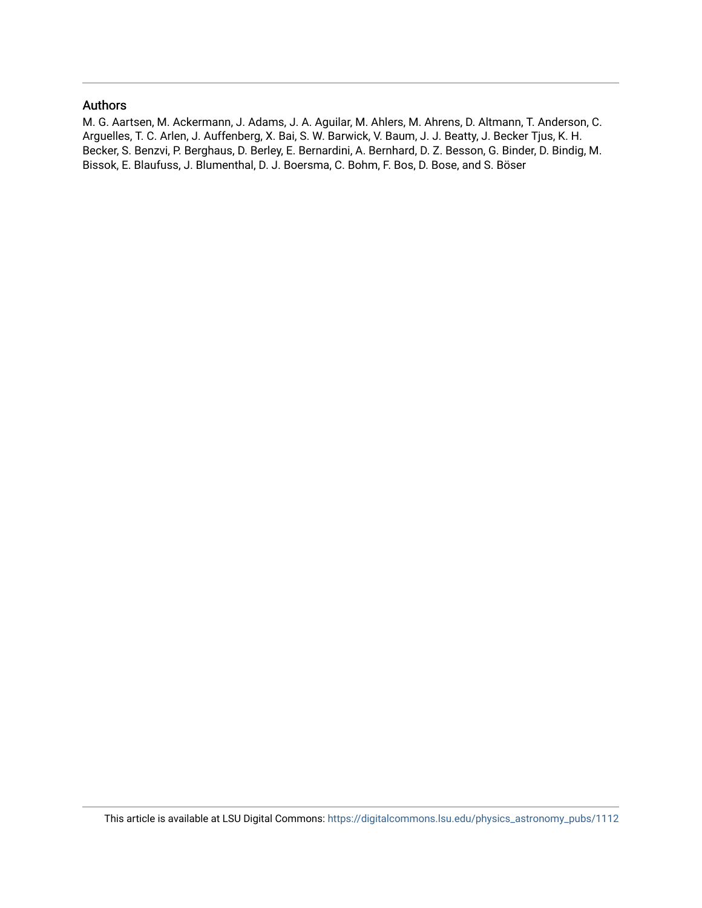## Authors

M. G. Aartsen, M. Ackermann, J. Adams, J. A. Aguilar, M. Ahlers, M. Ahrens, D. Altmann, T. Anderson, C. Arguelles, T. C. Arlen, J. Auffenberg, X. Bai, S. W. Barwick, V. Baum, J. J. Beatty, J. Becker Tjus, K. H. Becker, S. Benzvi, P. Berghaus, D. Berley, E. Bernardini, A. Bernhard, D. Z. Besson, G. Binder, D. Bindig, M. Bissok, E. Blaufuss, J. Blumenthal, D. J. Boersma, C. Bohm, F. Bos, D. Bose, and S. Böser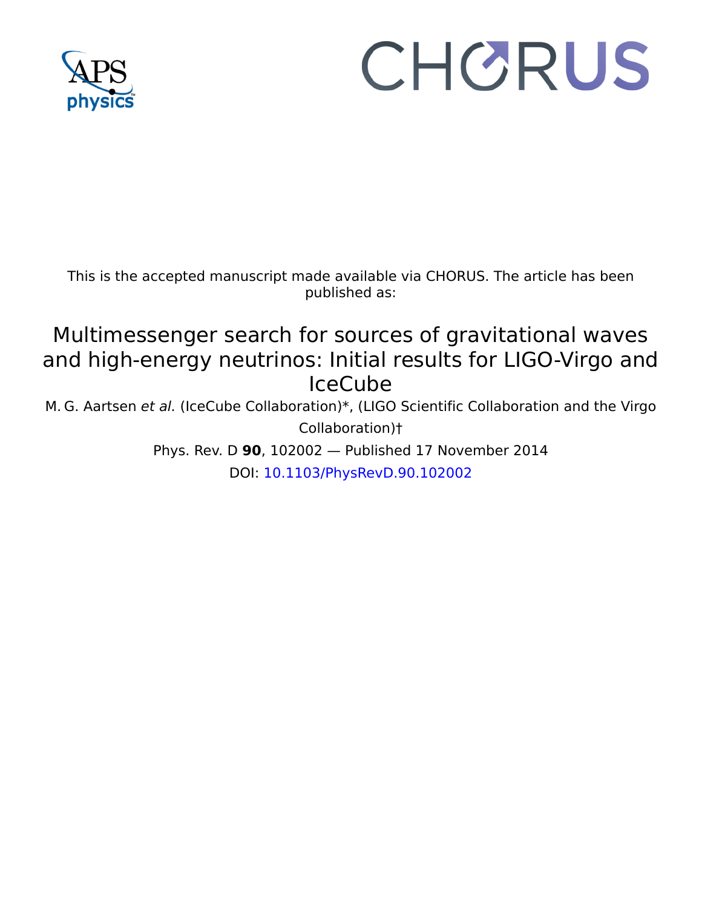

# CHORUS

This is the accepted manuscript made available via CHORUS. The article has been published as:

# Multimessenger search for sources of gravitational waves and high-energy neutrinos: Initial results for LIGO-Virgo and IceCube

M. G. Aartsen et al. (IceCube Collaboration)\*, (LIGO Scientific Collaboration and the Virgo Collaboration)†

> Phys. Rev. D **90**, 102002 — Published 17 November 2014 DOI: [10.1103/PhysRevD.90.102002](http://dx.doi.org/10.1103/PhysRevD.90.102002)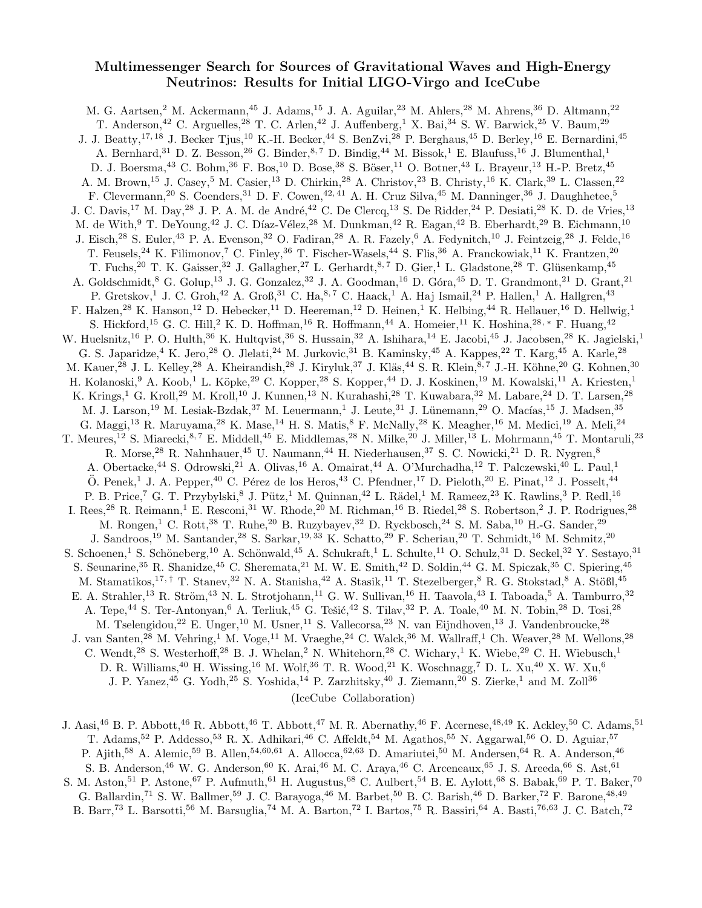# Multimessenger Search for Sources of Gravitational Waves and High-Energy Neutrinos: Results for Initial LIGO-Virgo and IceCube

M. G. Aartsen,<sup>2</sup> M. Ackermann,<sup>45</sup> J. Adams,<sup>15</sup> J. A. Aguilar,<sup>23</sup> M. Ahlers,<sup>28</sup> M. Ahrens,<sup>36</sup> D. Altmann,<sup>22</sup> T. Anderson,<sup>42</sup> C. Arguelles,<sup>28</sup> T. C. Arlen,<sup>42</sup> J. Auffenberg,<sup>1</sup> X. Bai,<sup>34</sup> S. W. Barwick,<sup>25</sup> V. Baum,<sup>29</sup> J. J. Beatty,<sup>17, 18</sup> J. Becker Tjus,<sup>10</sup> K.-H. Becker,<sup>44</sup> S. BenZvi,<sup>28</sup> P. Berghaus,<sup>45</sup> D. Berley,<sup>16</sup> E. Bernardini,<sup>45</sup> A. Bernhard,<sup>31</sup> D. Z. Besson,<sup>26</sup> G. Binder,<sup>8,7</sup> D. Bindig,<sup>44</sup> M. Bissok,<sup>1</sup> E. Blaufuss,<sup>16</sup> J. Blumenthal,<sup>1</sup> D. J. Boersma,<sup>43</sup> C. Bohm,<sup>36</sup> F. Bos,<sup>10</sup> D. Bose,<sup>38</sup> S. Böser,<sup>11</sup> O. Botner,<sup>43</sup> L. Brayeur,<sup>13</sup> H.-P. Bretz,<sup>45</sup> A. M. Brown,<sup>15</sup> J. Casey,<sup>5</sup> M. Casier,<sup>13</sup> D. Chirkin,<sup>28</sup> A. Christov,<sup>23</sup> B. Christy,<sup>16</sup> K. Clark,<sup>39</sup> L. Classen,<sup>22</sup> F. Clevermann,<sup>20</sup> S. Coenders,<sup>31</sup> D. F. Cowen,<sup>42, 41</sup> A. H. Cruz Silva,<sup>45</sup> M. Danninger,<sup>36</sup> J. Daughhetee,<sup>5</sup> J. C. Davis,<sup>17</sup> M. Day,<sup>28</sup> J. P. A. M. de André,<sup>42</sup> C. De Clercq,<sup>13</sup> S. De Ridder,<sup>24</sup> P. Desiati,<sup>28</sup> K. D. de Vries,<sup>13</sup> M. de With,<sup>9</sup> T. DeYoung,<sup>42</sup> J. C. Díaz-Vélez,<sup>28</sup> M. Dunkman,<sup>42</sup> R. Eagan,<sup>42</sup> B. Eberhardt,<sup>29</sup> B. Eichmann,<sup>10</sup> J. Eisch,<sup>28</sup> S. Euler,<sup>43</sup> P. A. Evenson,<sup>32</sup> O. Fadiran,<sup>28</sup> A. R. Fazely,<sup>6</sup> A. Fedynitch,<sup>10</sup> J. Feintzeig,<sup>28</sup> J. Felde,<sup>16</sup> T. Feusels,<sup>24</sup> K. Filimonov,<sup>7</sup> C. Finley,<sup>36</sup> T. Fischer-Wasels,<sup>44</sup> S. Flis,<sup>36</sup> A. Franckowiak,<sup>11</sup> K. Frantzen,<sup>20</sup> T. Fuchs,<sup>20</sup> T. K. Gaisser,<sup>32</sup> J. Gallagher,<sup>27</sup> L. Gerhardt,<sup>8,7</sup> D. Gier,<sup>1</sup> L. Gladstone,<sup>28</sup> T. Glüsenkamp,<sup>45</sup> A. Goldschmidt,<sup>8</sup> G. Golup,<sup>13</sup> J. G. Gonzalez,<sup>32</sup> J. A. Goodman,<sup>16</sup> D. Góra,<sup>45</sup> D. T. Grandmont,<sup>21</sup> D. Grant,<sup>21</sup> P. Gretskov,<sup>1</sup> J. C. Groh,<sup>42</sup> A. Groß,<sup>31</sup> C. Ha,<sup>8,7</sup> C. Haack,<sup>1</sup> A. Haj Ismail,<sup>24</sup> P. Hallen,<sup>1</sup> A. Hallgren,<sup>43</sup> F. Halzen,<sup>28</sup> K. Hanson,<sup>12</sup> D. Hebecker,<sup>11</sup> D. Heereman,<sup>12</sup> D. Heinen,<sup>1</sup> K. Helbing,<sup>44</sup> R. Hellauer,<sup>16</sup> D. Hellwig,<sup>1</sup> S. Hickford,<sup>15</sup> G. C. Hill,<sup>2</sup> K. D. Hoffman,<sup>16</sup> R. Hoffmann,<sup>44</sup> A. Homeier,<sup>11</sup> K. Hoshina,<sup>28,\*</sup> F. Huang,<sup>42</sup> W. Huelsnitz,<sup>16</sup> P. O. Hulth,<sup>36</sup> K. Hultqvist,<sup>36</sup> S. Hussain,<sup>32</sup> A. Ishihara,<sup>14</sup> E. Jacobi,<sup>45</sup> J. Jacobsen,<sup>28</sup> K. Jagielski,<sup>1</sup> G. S. Japaridze,<sup>4</sup> K. Jero,<sup>28</sup> O. Jlelati,<sup>24</sup> M. Jurkovic,<sup>31</sup> B. Kaminsky,<sup>45</sup> A. Kappes,<sup>22</sup> T. Karg,<sup>45</sup> A. Karle,<sup>28</sup> M. Kauer,<sup>28</sup> J. L. Kelley,<sup>28</sup> A. Kheirandish,<sup>28</sup> J. Kiryluk,<sup>37</sup> J. Kläs,<sup>44</sup> S. R. Klein,<sup>8,7</sup> J.-H. Köhne,<sup>20</sup> G. Kohnen,<sup>30</sup> H. Kolanoski,<sup>9</sup> A. Koob,<sup>1</sup> L. Köpke,<sup>29</sup> C. Kopper,<sup>28</sup> S. Kopper,<sup>44</sup> D. J. Koskinen,<sup>19</sup> M. Kowalski,<sup>11</sup> A. Kriesten,<sup>1</sup> K. Krings,<sup>1</sup> G. Kroll,<sup>29</sup> M. Kroll,<sup>10</sup> J. Kunnen,<sup>13</sup> N. Kurahashi,<sup>28</sup> T. Kuwabara,<sup>32</sup> M. Labare,<sup>24</sup> D. T. Larsen,<sup>28</sup> M. J. Larson,<sup>19</sup> M. Lesiak-Bzdak,<sup>37</sup> M. Leuermann,<sup>1</sup> J. Leute,<sup>31</sup> J. Lünemann,<sup>29</sup> O. Macías,<sup>15</sup> J. Madsen,<sup>35</sup> G. Maggi,<sup>13</sup> R. Maruyama,<sup>28</sup> K. Mase,<sup>14</sup> H. S. Matis,<sup>8</sup> F. McNally,<sup>28</sup> K. Meagher,<sup>16</sup> M. Medici,<sup>19</sup> A. Meli,<sup>24</sup> T. Meures,<sup>12</sup> S. Miarecki,<sup>8,7</sup> E. Middell,<sup>45</sup> E. Middlemas,<sup>28</sup> N. Milke,<sup>20</sup> J. Miller,<sup>13</sup> L. Mohrmann,<sup>45</sup> T. Montaruli,<sup>23</sup> R. Morse,  $^{28}$ R. Nahnhauer,  $^{45}$ U. Naumann,  $^{44}$  H. Niederhausen,  $^{37}$  S. C. Nowicki,  $^{21}$  D. R. Nygren,  $^8$ A. Obertacke,<sup>44</sup> S. Odrowski,<sup>21</sup> A. Olivas,<sup>16</sup> A. Omairat,<sup>44</sup> A. O'Murchadha,<sup>12</sup> T. Palczewski,<sup>40</sup> L. Paul,<sup>1</sup>  $\ddot{\mathrm{O}}$ . Penek,<sup>1</sup> J. A. Pepper,<sup>40</sup> C. Pérez de los Heros,<sup>43</sup> C. Pfendner,<sup>17</sup> D. Pieloth,<sup>20</sup> E. Pinat,<sup>12</sup> J. Posselt,<sup>44</sup> P. B. Price,<sup>7</sup> G. T. Przybylski,<sup>8</sup> J. Pütz,<sup>1</sup> M. Quinnan,<sup>42</sup> L. Rädel,<sup>1</sup> M. Rameez,<sup>23</sup> K. Rawlins,<sup>3</sup> P. Redl,<sup>16</sup> I. Rees,<sup>28</sup> R. Reimann,<sup>1</sup> E. Resconi,<sup>31</sup> W. Rhode,<sup>20</sup> M. Richman,<sup>16</sup> B. Riedel,<sup>28</sup> S. Robertson,<sup>2</sup> J. P. Rodrigues,<sup>28</sup> M. Rongen,<sup>1</sup> C. Rott,<sup>38</sup> T. Ruhe,<sup>20</sup> B. Ruzybayev,<sup>32</sup> D. Ryckbosch,<sup>24</sup> S. M. Saba,<sup>10</sup> H.-G. Sander,<sup>29</sup> J. Sandroos,<sup>19</sup> M. Santander,<sup>28</sup> S. Sarkar,19, 33 K. Schatto,<sup>29</sup> F. Scheriau,<sup>20</sup> T. Schmidt,<sup>16</sup> M. Schmitz,<sup>20</sup> S. Schoenen,<sup>1</sup> S. Schöneberg,<sup>10</sup> A. Schönwald,<sup>45</sup> A. Schukraft,<sup>1</sup> L. Schulte,<sup>11</sup> O. Schulz,<sup>31</sup> D. Seckel,<sup>32</sup> Y. Sestayo,<sup>31</sup> S. Seunarine,<sup>35</sup> R. Shanidze,<sup>45</sup> C. Sheremata,<sup>21</sup> M. W. E. Smith,<sup>42</sup> D. Soldin,<sup>44</sup> G. M. Spiczak,<sup>35</sup> C. Spiering,<sup>45</sup> M. Stamatikos,<sup>17, †</sup> T. Stanev,<sup>32</sup> N. A. Stanisha,<sup>42</sup> A. Stasik,<sup>11</sup> T. Stezelberger,<sup>8</sup> R. G. Stokstad,<sup>8</sup> A. Stößl,<sup>45</sup> E. A. Strahler,<sup>13</sup> R. Ström,<sup>43</sup> N. L. Strotjohann,<sup>11</sup> G. W. Sullivan,<sup>16</sup> H. Taavola,<sup>43</sup> I. Taboada,<sup>5</sup> A. Tamburro,<sup>32</sup> A. Tepe,<sup>44</sup> S. Ter-Antonyan,<sup>6</sup> A. Terliuk,<sup>45</sup> G. Tešić,<sup>42</sup> S. Tilav,<sup>32</sup> P. A. Toale,<sup>40</sup> M. N. Tobin,<sup>28</sup> D. Tosi,<sup>28</sup> M. Tselengidou,<sup>22</sup> E. Unger,<sup>10</sup> M. Usner,<sup>11</sup> S. Vallecorsa,<sup>23</sup> N. van Eijndhoven,<sup>13</sup> J. Vandenbroucke,<sup>28</sup> J. van Santen,<sup>28</sup> M. Vehring,<sup>1</sup> M. Voge,<sup>11</sup> M. Vraeghe,<sup>24</sup> C. Walck,<sup>36</sup> M. Wallraff,<sup>1</sup> Ch. Weaver,<sup>28</sup> M. Wellons,<sup>28</sup> C. Wendt,<sup>28</sup> S. Westerhoff,<sup>28</sup> B. J. Whelan,<sup>2</sup> N. Whitehorn,<sup>28</sup> C. Wichary,<sup>1</sup> K. Wiebe,<sup>29</sup> C. H. Wiebusch,<sup>1</sup> D. R. Williams,  $^{40}$  H. Wissing,  $^{16}$  M. Wolf,  $^{36}$  T. R. Wood,  $^{21}$  K. Woschnagg,  $^7$  D. L. Xu,  $^{40}$  X. W. Xu,  $^{6}$ J. P. Yanez,<sup>45</sup> G. Yodh,<sup>25</sup> S. Yoshida,<sup>14</sup> P. Zarzhitsky,<sup>40</sup> J. Ziemann,<sup>20</sup> S. Zierke,<sup>1</sup> and M. Zoll<sup>36</sup> (IceCube Collaboration)

J. Aasi,<sup>46</sup> B. P. Abbott,<sup>46</sup> R. Abbott,<sup>46</sup> T. Abbott,<sup>47</sup> M. R. Abernathy,<sup>46</sup> F. Acernese,<sup>48,49</sup> K. Ackley,<sup>50</sup> C. Adams,<sup>51</sup> T. Adams,  $^{52}$  P. Addesso,  $^{53}$  R. X. Adhikari,  $^{46}$  C. Affeldt,  $^{54}$  M. Agathos,  $^{55}$  N. Aggarwal,  $^{56}$  O. D. Aguiar,  $^{57}$ P. Ajith,<sup>58</sup> A. Alemic,<sup>59</sup> B. Allen,<sup>54,60,61</sup> A. Allocca,<sup>62,63</sup> D. Amariutei,<sup>50</sup> M. Andersen,<sup>64</sup> R. A. Anderson,<sup>46</sup> S. B. Anderson,<sup>46</sup> W. G. Anderson,<sup>60</sup> K. Arai,<sup>46</sup> M. C. Araya,<sup>46</sup> C. Arceneaux,<sup>65</sup> J. S. Areeda,<sup>66</sup> S. Ast,<sup>61</sup> S. M. Aston,<sup>51</sup> P. Astone,<sup>67</sup> P. Aufmuth,<sup>61</sup> H. Augustus,<sup>68</sup> C. Aulbert,<sup>54</sup> B. E. Aylott,<sup>68</sup> S. Babak,<sup>69</sup> P. T. Baker,<sup>70</sup> G. Ballardin,<sup>71</sup> S. W. Ballmer,<sup>59</sup> J. C. Barayoga,<sup>46</sup> M. Barbet,<sup>50</sup> B. C. Barish,<sup>46</sup> D. Barker,<sup>72</sup> F. Barone,<sup>48,49</sup> B. Barr,<sup>73</sup> L. Barsotti,<sup>56</sup> M. Barsuglia,<sup>74</sup> M. A. Barton,<sup>72</sup> I. Bartos,<sup>75</sup> R. Bassiri,<sup>64</sup> A. Basti,<sup>76</sup>,<sup>63</sup> J. C. Batch,<sup>72</sup>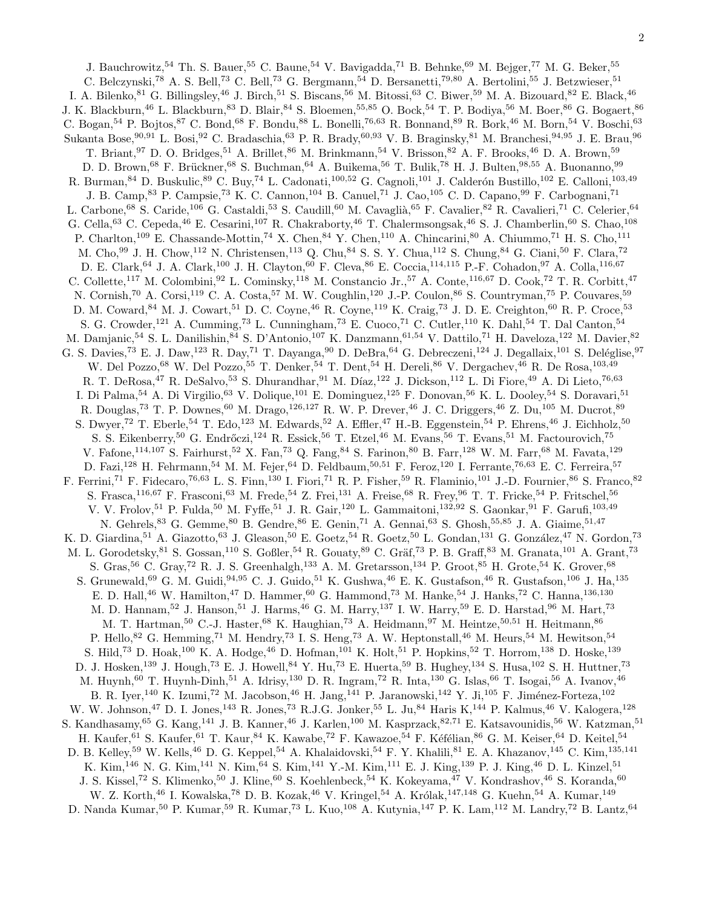J. Bauchrowitz,<sup>54</sup> Th. S. Bauer,<sup>55</sup> C. Baune,<sup>54</sup> V. Bavigadda,<sup>71</sup> B. Behnke,<sup>69</sup> M. Bejger,<sup>77</sup> M. G. Beker,<sup>55</sup> C. Belczynski,<sup>78</sup> A. S. Bell,<sup>73</sup> C. Bell,<sup>73</sup> G. Bergmann,<sup>54</sup> D. Bersanetti,<sup>79,80</sup> A. Bertolini,<sup>55</sup> J. Betzwieser,<sup>51</sup> I. A. Bilenko, <sup>81</sup> G. Billingsley, <sup>46</sup> J. Birch, <sup>51</sup> S. Biscans, <sup>56</sup> M. Bitossi, <sup>63</sup> C. Biwer, <sup>59</sup> M. A. Bizouard, <sup>82</sup> E. Black, <sup>46</sup> J. K. Blackburn,<sup>46</sup> L. Blackburn,<sup>83</sup> D. Blair,<sup>84</sup> S. Bloemen,<sup>55,85</sup> O. Bock,<sup>54</sup> T. P. Bodiya,<sup>56</sup> M. Boer,<sup>86</sup> G. Bogaert,<sup>86</sup> C. Bogan,<sup>54</sup> P. Bojtos,<sup>87</sup> C. Bond,<sup>68</sup> F. Bondu,<sup>88</sup> L. Bonelli,<sup>76,63</sup> R. Bonnand,<sup>89</sup> R. Bork,<sup>46</sup> M. Born,<sup>54</sup> V. Boschi,<sup>63</sup> Sukanta Bose,<sup>90,91</sup> L. Bosi,<sup>92</sup> C. Bradaschia,<sup>63</sup> P. R. Brady,<sup>60,93</sup> V. B. Braginsky,<sup>81</sup> M. Branchesi,<sup>94,95</sup> J. E. Brau,<sup>96</sup> T. Briant, <sup>97</sup> D. O. Bridges, <sup>51</sup> A. Brillet, <sup>86</sup> M. Brinkmann, <sup>54</sup> V. Brisson, <sup>82</sup> A. F. Brooks, <sup>46</sup> D. A. Brown, <sup>59</sup> D. D. Brown,<sup>68</sup> F. Brückner,<sup>68</sup> S. Buchman,<sup>64</sup> A. Buikema,<sup>56</sup> T. Bulik,<sup>78</sup> H. J. Bulten,<sup>98,55</sup> A. Buonanno,<sup>99</sup> R. Burman, <sup>84</sup> D. Buskulic, <sup>89</sup> C. Buy, <sup>74</sup> L. Cadonati, <sup>100,52</sup> G. Cagnoli, <sup>101</sup> J. Calderón Bustillo, <sup>102</sup> E. Calloni, <sup>103,49</sup> J. B. Camp, <sup>83</sup> P. Campsie,<sup>73</sup> K. C. Cannon, <sup>104</sup> B. Canuel, <sup>71</sup> J. Cao, <sup>105</sup> C. D. Capano, <sup>99</sup> F. Carbognani, <sup>71</sup> L. Carbone,<sup>68</sup> S. Caride,<sup>106</sup> G. Castaldi,<sup>53</sup> S. Caudill,<sup>60</sup> M. Cavaglià,<sup>65</sup> F. Cavalier,<sup>82</sup> R. Cavalieri,<sup>71</sup> C. Celerier,<sup>64</sup> G. Cella,<sup>63</sup> C. Cepeda,<sup>46</sup> E. Cesarini,<sup>107</sup> R. Chakraborty,<sup>46</sup> T. Chalermsongsak,<sup>46</sup> S. J. Chamberlin,<sup>60</sup> S. Chao,<sup>108</sup> P. Charlton,<sup>109</sup> E. Chassande-Mottin,<sup>74</sup> X. Chen,<sup>84</sup> Y. Chen,<sup>110</sup> A. Chincarini,<sup>80</sup> A. Chiummo,<sup>71</sup> H. S. Cho,<sup>111</sup> M. Cho,<sup>99</sup> J. H. Chow,<sup>112</sup> N. Christensen,<sup>113</sup> Q. Chu,<sup>84</sup> S. S. Y. Chua,<sup>112</sup> S. Chung,<sup>84</sup> G. Ciani,<sup>50</sup> F. Clara,<sup>72</sup> D. E. Clark,<sup>64</sup> J. A. Clark,<sup>100</sup> J. H. Clayton,<sup>60</sup> F. Cleva,<sup>86</sup> E. Coccia,<sup>114,115</sup> P.-F. Cohadon,<sup>97</sup> A. Colla,<sup>116,67</sup> C. Collette,<sup>117</sup> M. Colombini,<sup>92</sup> L. Cominsky,<sup>118</sup> M. Constancio Jr.,<sup>57</sup> A. Conte,<sup>116,67</sup> D. Cook,<sup>72</sup> T. R. Corbitt,<sup>47</sup> N. Cornish,<sup>70</sup> A. Corsi,<sup>119</sup> C. A. Costa,<sup>57</sup> M. W. Coughlin,<sup>120</sup> J.-P. Coulon,<sup>86</sup> S. Countryman,<sup>75</sup> P. Couvares,<sup>59</sup> D. M. Coward, <sup>84</sup> M. J. Cowart, <sup>51</sup> D. C. Coyne, <sup>46</sup> R. Coyne, <sup>119</sup> K. Craig, <sup>73</sup> J. D. E. Creighton, <sup>60</sup> R. P. Croce, <sup>53</sup> S. G. Crowder,<sup>121</sup> A. Cumming,<sup>73</sup> L. Cunningham,<sup>73</sup> E. Cuoco,<sup>71</sup> C. Cutler,<sup>110</sup> K. Dahl,<sup>54</sup> T. Dal Canton,<sup>54</sup> M. Damjanic,<sup>54</sup> S. L. Danilishin,<sup>84</sup> S. D'Antonio,<sup>107</sup> K. Danzmann,<sup>61,54</sup> V. Dattilo,<sup>71</sup> H. Daveloza,<sup>122</sup> M. Davier,<sup>82</sup> G. S. Davies,<sup>73</sup> E. J. Daw,<sup>123</sup> R. Day,<sup>71</sup> T. Dayanga,<sup>90</sup> D. DeBra,<sup>64</sup> G. Debreczeni,<sup>124</sup> J. Degallaix,<sup>101</sup> S. Deléglise,<sup>97</sup> W. Del Pozzo,<sup>68</sup> W. Del Pozzo,<sup>55</sup> T. Denker,<sup>54</sup> T. Dent,<sup>54</sup> H. Dereli,<sup>86</sup> V. Dergachev,<sup>46</sup> R. De Rosa,<sup>103,49</sup> R. T. DeRosa,  $47$  R. DeSalvo,  $53$  S. Dhurandhar,  $91$  M. Díaz,  $122$  J. Dickson,  $112$  L. Di Fiore,  $49$  A. Di Lieto,  $76,63$ I. Di Palma,<sup>54</sup> A. Di Virgilio,<sup>63</sup> V. Dolique,<sup>101</sup> E. Dominguez,<sup>125</sup> F. Donovan,<sup>56</sup> K. L. Dooley,<sup>54</sup> S. Doravari,<sup>51</sup> R. Douglas,<sup>73</sup> T. P. Downes,<sup>60</sup> M. Drago,<sup>126,127</sup> R. W. P. Drever,<sup>46</sup> J. C. Driggers,<sup>46</sup> Z. Du,<sup>105</sup> M. Ducrot,<sup>89</sup> S. Dwyer,<sup>72</sup> T. Eberle,<sup>54</sup> T. Edo,<sup>123</sup> M. Edwards,<sup>52</sup> A. Effler,<sup>47</sup> H.-B. Eggenstein,<sup>54</sup> P. Ehrens,<sup>46</sup> J. Eichholz,<sup>50</sup> S. S. Eikenberry,<sup>50</sup> G. Endrőczi,<sup>124</sup> R. Essick,<sup>56</sup> T. Etzel,<sup>46</sup> M. Evans,<sup>56</sup> T. Evans,<sup>51</sup> M. Factourovich,<sup>75</sup> V. Fafone, <sup>114,107</sup> S. Fairhurst, <sup>52</sup> X. Fan, <sup>73</sup> Q. Fang, <sup>84</sup> S. Farinon, <sup>80</sup> B. Farr, <sup>128</sup> W. M. Farr, <sup>68</sup> M. Favata, <sup>129</sup> D. Fazi,<sup>128</sup> H. Fehrmann,<sup>54</sup> M. M. Fejer,<sup>64</sup> D. Feldbaum,<sup>50,51</sup> F. Feroz,<sup>120</sup> I. Ferrante,<sup>76,63</sup> E. C. Ferreira,<sup>57</sup> F. Ferrini,<sup>71</sup> F. Fidecaro,<sup>76,63</sup> L. S. Finn,<sup>130</sup> I. Fiori,<sup>71</sup> R. P. Fisher,<sup>59</sup> R. Flaminio,<sup>101</sup> J.-D. Fournier,<sup>86</sup> S. Franco,<sup>82</sup> S. Frasca,<sup>116,67</sup> F. Frasconi,<sup>63</sup> M. Frede,<sup>54</sup> Z. Frei,<sup>131</sup> A. Freise,<sup>68</sup> R. Frey,<sup>96</sup> T. T. Fricke,<sup>54</sup> P. Fritschel,<sup>56</sup> V. V. Frolov,<sup>51</sup> P. Fulda,<sup>50</sup> M. Fyffe,<sup>51</sup> J. R. Gair,<sup>120</sup> L. Gammaitoni,<sup>132,92</sup> S. Gaonkar,<sup>91</sup> F. Garufi,<sup>103,49</sup> N. Gehrels, <sup>83</sup> G. Gemme, <sup>80</sup> B. Gendre, <sup>86</sup> E. Genin, <sup>71</sup> A. Gennai, <sup>63</sup> S. Ghosh, <sup>55,85</sup> J. A. Giaime, <sup>51,47</sup> K. D. Giardina,<sup>51</sup> A. Giazotto,<sup>63</sup> J. Gleason,<sup>50</sup> E. Goetz,<sup>54</sup> R. Goetz,<sup>50</sup> L. Gondan,<sup>131</sup> G. González,<sup>47</sup> N. Gordon,<sup>73</sup> M. L. Gorodetsky,  $81$  S. Gossan,  $^{110}$  S. Goßler,  $^{54}$  R. Gouaty,  $^{89}$  C. Gräf,  $^{73}$  P. B. Graff,  $^{83}$  M. Granata,  $^{101}$  A. Grant,  $^{73}$ S. Gras,<sup>56</sup> C. Gray,<sup>72</sup> R. J. S. Greenhalgh,<sup>133</sup> A. M. Gretarsson,<sup>134</sup> P. Groot,<sup>85</sup> H. Grote,<sup>54</sup> K. Grover,<sup>68</sup> S. Grunewald,<sup>69</sup> G. M. Guidi,<sup>94,95</sup> C. J. Guido,<sup>51</sup> K. Gushwa,<sup>46</sup> E. K. Gustafson,<sup>46</sup> R. Gustafson,<sup>106</sup> J. Ha,<sup>135</sup> E. D. Hall,<sup>46</sup> W. Hamilton,<sup>47</sup> D. Hammer,<sup>60</sup> G. Hammond,<sup>73</sup> M. Hanke,<sup>54</sup> J. Hanks,<sup>72</sup> C. Hanna,<sup>136,130</sup> M. D. Hannam,<sup>52</sup> J. Hanson,<sup>51</sup> J. Harms,<sup>46</sup> G. M. Harry,<sup>137</sup> I. W. Harry,<sup>59</sup> E. D. Harstad,<sup>96</sup> M. Hart,<sup>73</sup> M. T. Hartman,<sup>50</sup> C.-J. Haster,<sup>68</sup> K. Haughian,<sup>73</sup> A. Heidmann,<sup>97</sup> M. Heintze,<sup>50,51</sup> H. Heitmann,<sup>86</sup> P. Hello,  $82$  G. Hemming,  $71$  M. Hendry,  $73$  I. S. Heng,  $73$  A. W. Heptonstall,  $46$  M. Heurs,  $54$  M. Hewitson,  $54$ S. Hild,<sup>73</sup> D. Hoak,<sup>100</sup> K. A. Hodge,<sup>46</sup> D. Hofman,<sup>101</sup> K. Holt,<sup>51</sup> P. Hopkins,<sup>52</sup> T. Horrom,<sup>138</sup> D. Hoske,<sup>139</sup> D. J. Hosken,<sup>139</sup> J. Hough,<sup>73</sup> E. J. Howell,<sup>84</sup> Y. Hu,<sup>73</sup> E. Huerta,<sup>59</sup> B. Hughey,<sup>134</sup> S. Husa,<sup>102</sup> S. H. Huttner,<sup>73</sup> M. Huynh,<sup>60</sup> T. Huynh-Dinh,<sup>51</sup> A. Idrisy,<sup>130</sup> D. R. Ingram,<sup>72</sup> R. Inta,<sup>130</sup> G. Islas,<sup>66</sup> T. Isogai,<sup>56</sup> A. Ivanov,<sup>46</sup> B. R. Iyer,<sup>140</sup> K. Izumi,<sup>72</sup> M. Jacobson,<sup>46</sup> H. Jang,<sup>141</sup> P. Jaranowski,<sup>142</sup> Y. Ji,<sup>105</sup> F. Jiménez-Forteza,<sup>102</sup> W. W. Johnson,<sup>47</sup> D. I. Jones,<sup>143</sup> R. Jones,<sup>73</sup> R.J.G. Jonker,<sup>55</sup> L. Ju,<sup>84</sup> Haris K,<sup>144</sup> P. Kalmus,<sup>46</sup> V. Kalogera,<sup>128</sup> S. Kandhasamy,<sup>65</sup> G. Kang,<sup>141</sup> J. B. Kanner,<sup>46</sup> J. Karlen,<sup>100</sup> M. Kasprzack,<sup>82,71</sup> E. Katsavounidis,<sup>56</sup> W. Katzman,<sup>51</sup> H. Kaufer,<sup>61</sup> S. Kaufer,<sup>61</sup> T. Kaur,<sup>84</sup> K. Kawabe,<sup>72</sup> F. Kawazoe,<sup>54</sup> F. Kéfélian,<sup>86</sup> G. M. Keiser,<sup>64</sup> D. Keitel,<sup>54</sup> D. B. Kelley,<sup>59</sup> W. Kells,<sup>46</sup> D. G. Keppel,<sup>54</sup> A. Khalaidovski,<sup>54</sup> F. Y. Khalili,<sup>81</sup> E. A. Khazanov,<sup>145</sup> C. Kim,<sup>135,141</sup> K. Kim,<sup>146</sup> N. G. Kim,<sup>141</sup> N. Kim,<sup>64</sup> S. Kim,<sup>141</sup> Y.-M. Kim,<sup>111</sup> E. J. King,<sup>139</sup> P. J. King,<sup>46</sup> D. L. Kinzel,<sup>51</sup> J. S. Kissel,<sup>72</sup> S. Klimenko,<sup>50</sup> J. Kline,<sup>60</sup> S. Koehlenbeck,<sup>54</sup> K. Kokeyama,<sup>47</sup> V. Kondrashov,<sup>46</sup> S. Koranda,<sup>60</sup> W. Z. Korth,<sup>46</sup> I. Kowalska,<sup>78</sup> D. B. Kozak,<sup>46</sup> V. Kringel,<sup>54</sup> A. Królak,<sup>147,148</sup> G. Kuehn,<sup>54</sup> A. Kumar,<sup>149</sup> D. Nanda Kumar,<sup>50</sup> P. Kumar,<sup>59</sup> R. Kumar,<sup>73</sup> L. Kuo,<sup>108</sup> A. Kutynia,<sup>147</sup> P. K. Lam,<sup>112</sup> M. Landry,<sup>72</sup> B. Lantz,<sup>64</sup>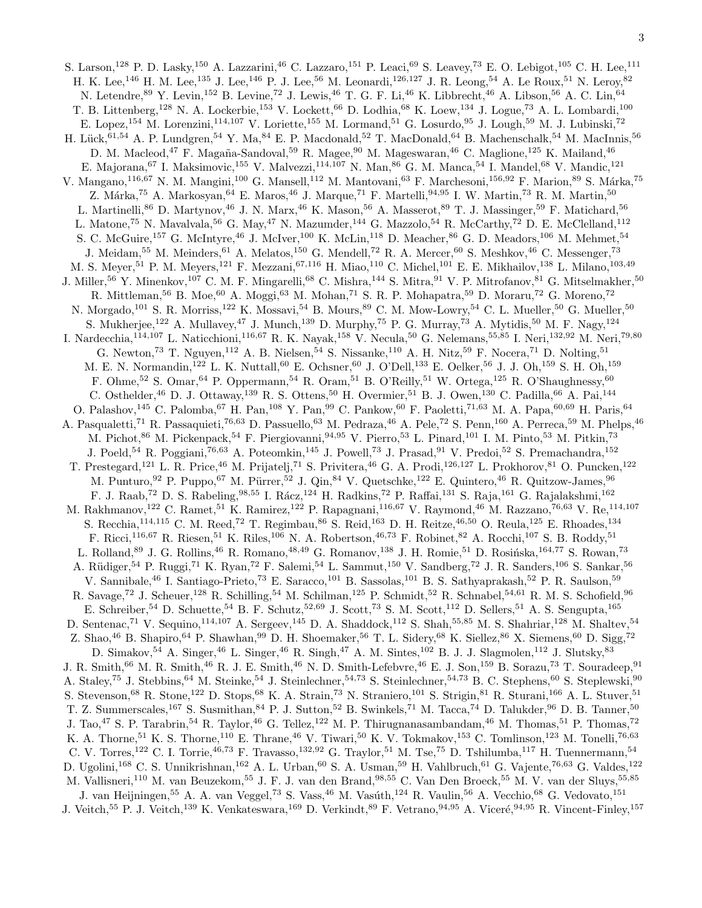S. Larson,<sup>128</sup> P. D. Lasky,<sup>150</sup> A. Lazzarini,<sup>46</sup> C. Lazzaro,<sup>151</sup> P. Leaci,<sup>69</sup> S. Leavey,<sup>73</sup> E. O. Lebigot,<sup>105</sup> C. H. Lee,<sup>111</sup> H. K. Lee,<sup>146</sup> H. M. Lee,<sup>135</sup> J. Lee,<sup>146</sup> P. J. Lee,<sup>56</sup> M. Leonardi,<sup>126,127</sup> J. R. Leong,<sup>54</sup> A. Le Roux,<sup>51</sup> N. Leroy,<sup>82</sup> N. Letendre,<sup>89</sup> Y. Levin,<sup>152</sup> B. Levine,<sup>72</sup> J. Lewis,<sup>46</sup> T. G. F. Li,<sup>46</sup> K. Libbrecht,<sup>46</sup> A. Libson,<sup>56</sup> A. C. Lin,<sup>64</sup> T. B. Littenberg,<sup>128</sup> N. A. Lockerbie,<sup>153</sup> V. Lockett,<sup>66</sup> D. Lodhia,<sup>68</sup> K. Loew,<sup>134</sup> J. Logue,<sup>73</sup> A. L. Lombardi,<sup>100</sup> E. Lopez,<sup>154</sup> M. Lorenzini,<sup>114,107</sup> V. Loriette,<sup>155</sup> M. Lormand,<sup>51</sup> G. Losurdo,<sup>95</sup> J. Lough,<sup>59</sup> M. J. Lubinski,<sup>72</sup> H. Lück,<sup>61,54</sup> A. P. Lundgren,<sup>54</sup> Y. Ma,<sup>84</sup> E. P. Macdonald,<sup>52</sup> T. MacDonald,<sup>64</sup> B. Machenschalk,<sup>54</sup> M. MacInnis,<sup>56</sup> D. M. Macleod, <sup>47</sup> F. Magaña-Sandoval, <sup>59</sup> R. Magee, <sup>90</sup> M. Mageswaran, <sup>46</sup> C. Maglione, <sup>125</sup> K. Mailand, <sup>46</sup> E. Majorana,<sup>67</sup> I. Maksimovic,<sup>155</sup> V. Malvezzi,<sup>114,107</sup> N. Man,<sup>86</sup> G. M. Manca,<sup>54</sup> I. Mandel,<sup>68</sup> V. Mandic,<sup>121</sup> V. Mangano,<sup>116,67</sup> N. M. Mangini,<sup>100</sup> G. Mansell,<sup>112</sup> M. Mantovani,<sup>63</sup> F. Marchesoni,<sup>156,92</sup> F. Marion,<sup>89</sup> S. Márka,<sup>75</sup> Z. Márka,<sup>75</sup> A. Markosyan,<sup>64</sup> E. Maros,<sup>46</sup> J. Marque,<sup>71</sup> F. Martelli,<sup>94,95</sup> I. W. Martin,<sup>73</sup> R. M. Martin,<sup>50</sup> L. Martinelli,<sup>86</sup> D. Martynov,<sup>46</sup> J. N. Marx,<sup>46</sup> K. Mason,<sup>56</sup> A. Masserot,<sup>89</sup> T. J. Massinger,<sup>59</sup> F. Matichard,<sup>56</sup> L. Matone,<sup>75</sup> N. Mavalvala,<sup>56</sup> G. May,<sup>47</sup> N. Mazumder,<sup>144</sup> G. Mazzolo,<sup>54</sup> R. McCarthy,<sup>72</sup> D. E. McClelland,<sup>112</sup> S. C. McGuire,<sup>157</sup> G. McIntyre,<sup>46</sup> J. McIver,<sup>100</sup> K. McLin,<sup>118</sup> D. Meacher,<sup>86</sup> G. D. Meadors,<sup>106</sup> M. Mehmet,<sup>54</sup> J. Meidam,<sup>55</sup> M. Meinders,<sup>61</sup> A. Melatos,<sup>150</sup> G. Mendell,<sup>72</sup> R. A. Mercer,<sup>60</sup> S. Meshkov,<sup>46</sup> C. Messenger,<sup>73</sup> M. S. Meyer,<sup>51</sup> P. M. Meyers,<sup>121</sup> F. Mezzani,<sup>67,116</sup> H. Miao,<sup>110</sup> C. Michel,<sup>101</sup> E. E. Mikhailov,<sup>138</sup> L. Milano,<sup>103,49</sup> J. Miller,<sup>56</sup> Y. Minenkov,<sup>107</sup> C. M. F. Mingarelli,<sup>68</sup> C. Mishra,<sup>144</sup> S. Mitra,<sup>91</sup> V. P. Mitrofanov,<sup>81</sup> G. Mitselmakher,<sup>50</sup> R. Mittleman,<sup>56</sup> B. Moe,<sup>60</sup> A. Moggi,<sup>63</sup> M. Mohan,<sup>71</sup> S. R. P. Mohapatra,<sup>59</sup> D. Moraru,<sup>72</sup> G. Moreno,<sup>72</sup> N. Morgado,<sup>101</sup> S. R. Morriss,<sup>122</sup> K. Mossavi,<sup>54</sup> B. Mours,<sup>89</sup> C. M. Mow-Lowry,<sup>54</sup> C. L. Mueller,<sup>50</sup> G. Mueller,<sup>50</sup> S. Mukherjee,<sup>122</sup> A. Mullavey,<sup>47</sup> J. Munch,<sup>139</sup> D. Murphy,<sup>75</sup> P. G. Murray,<sup>73</sup> A. Mytidis,<sup>50</sup> M. F. Nagy,<sup>124</sup> I. Nardecchia,<sup>114,107</sup> L. Naticchioni,<sup>116,67</sup> R. K. Nayak,<sup>158</sup> V. Necula,<sup>50</sup> G. Nelemans,<sup>55,85</sup> I. Neri,<sup>132,92</sup> M. Neri,<sup>79,80</sup> G. Newton,<sup>73</sup> T. Nguyen,<sup>112</sup> A. B. Nielsen,<sup>54</sup> S. Nissanke,<sup>110</sup> A. H. Nitz,<sup>59</sup> F. Nocera,<sup>71</sup> D. Nolting,<sup>51</sup> M. E. N. Normandin,<sup>122</sup> L. K. Nuttall,<sup>60</sup> E. Ochsner,<sup>60</sup> J. O'Dell,<sup>133</sup> E. Oelker,<sup>56</sup> J. J. Oh,<sup>159</sup> S. H. Oh,<sup>159</sup> F. Ohme,<sup>52</sup> S. Omar,<sup>64</sup> P. Oppermann,<sup>54</sup> R. Oram,<sup>51</sup> B. O'Reilly,<sup>51</sup> W. Ortega,<sup>125</sup> R. O'Shaughnessy,<sup>60</sup> C. Osthelder, <sup>46</sup> D. J. Ottaway, <sup>139</sup> R. S. Ottens, <sup>50</sup> H. Overmier, <sup>51</sup> B. J. Owen, <sup>130</sup> C. Padilla, <sup>66</sup> A. Pai, <sup>144</sup> O. Palashov,<sup>145</sup> C. Palomba,<sup>67</sup> H. Pan,<sup>108</sup> Y. Pan,<sup>99</sup> C. Pankow,<sup>60</sup> F. Paoletti,<sup>71,63</sup> M. A. Papa,<sup>60,69</sup> H. Paris,<sup>64</sup> A. Pasqualetti,<sup>71</sup> R. Passaquieti,<sup>76,63</sup> D. Passuello,<sup>63</sup> M. Pedraza,<sup>46</sup> A. Pele,<sup>72</sup> S. Penn,<sup>160</sup> A. Perreca,<sup>59</sup> M. Phelps,<sup>46</sup> M. Pichot,  $86$  M. Pickenpack,  $54$  F. Piergiovanni,  $94.95$  V. Pierro,  $53$  L. Pinard,  $101$  I. M. Pinto,  $53$  M. Pitkin,  $73$ J. Poeld,<sup>54</sup> R. Poggiani,<sup>76,63</sup> A. Poteomkin,<sup>145</sup> J. Powell,<sup>73</sup> J. Prasad,<sup>91</sup> V. Predoi,<sup>52</sup> S. Premachandra,<sup>152</sup> T. Prestegard,<sup>121</sup> L. R. Price,<sup>46</sup> M. Prijatelj,<sup>71</sup> S. Privitera,<sup>46</sup> G. A. Prodi,<sup>126,127</sup> L. Prokhorov,<sup>81</sup> O. Puncken,<sup>122</sup> M. Punturo, <sup>92</sup> P. Puppo, <sup>67</sup> M. Pürrer, <sup>52</sup> J. Qin, <sup>84</sup> V. Quetschke, <sup>122</sup> E. Quintero, <sup>46</sup> R. Quitzow-James, <sup>96</sup> F. J. Raab,<sup>72</sup> D. S. Rabeling,<sup>98,55</sup> I. Rácz,<sup>124</sup> H. Radkins,<sup>72</sup> P. Raffai,<sup>131</sup> S. Raja,<sup>161</sup> G. Rajalakshmi,<sup>162</sup> M. Rakhmanov,<sup>122</sup> C. Ramet,<sup>51</sup> K. Ramirez,<sup>122</sup> P. Rapagnani,<sup>116,67</sup> V. Raymond,<sup>46</sup> M. Razzano,<sup>76,63</sup> V. Re,<sup>114,107</sup> S. Recchia, <sup>114, 115</sup> C. M. Reed, <sup>72</sup> T. Regimbau, <sup>86</sup> S. Reid, <sup>163</sup> D. H. Reitze, <sup>46,50</sup> O. Reula, <sup>125</sup> E. Rhoades, <sup>134</sup> F. Ricci,<sup>116,67</sup> R. Riesen,<sup>51</sup> K. Riles,<sup>106</sup> N. A. Robertson,<sup>46,73</sup> F. Robinet,<sup>82</sup> A. Rocchi,<sup>107</sup> S. B. Roddy,<sup>51</sup> L. Rolland,<sup>89</sup> J. G. Rollins,<sup>46</sup> R. Romano,<sup>48,49</sup> G. Romanov,<sup>138</sup> J. H. Romie,<sup>51</sup> D. Rosińska,<sup>164,77</sup> S. Rowan,<sup>73</sup> A. Rüdiger,<sup>54</sup> P. Ruggi,<sup>71</sup> K. Ryan,<sup>72</sup> F. Salemi,<sup>54</sup> L. Sammut,<sup>150</sup> V. Sandberg,<sup>72</sup> J. R. Sanders,<sup>106</sup> S. Sankar,<sup>56</sup> V. Sannibale,<sup>46</sup> I. Santiago-Prieto,<sup>73</sup> E. Saracco,<sup>101</sup> B. Sassolas,<sup>101</sup> B. S. Sathyaprakash,<sup>52</sup> P. R. Saulson,<sup>59</sup> R. Savage,<sup>72</sup> J. Scheuer,<sup>128</sup> R. Schilling,<sup>54</sup> M. Schilman,<sup>125</sup> P. Schmidt,<sup>52</sup> R. Schnabel,<sup>54,61</sup> R. M. S. Schofield,<sup>96</sup> E. Schreiber,<sup>54</sup> D. Schuette,<sup>54</sup> B. F. Schutz,<sup>52,69</sup> J. Scott,<sup>73</sup> S. M. Scott,<sup>112</sup> D. Sellers,<sup>51</sup> A. S. Sengupta,<sup>165</sup> D. Sentenac,<sup>71</sup> V. Sequino,<sup>114,107</sup> A. Sergeev,<sup>145</sup> D. A. Shaddock,<sup>112</sup> S. Shah,<sup>55,85</sup> M. S. Shahriar,<sup>128</sup> M. Shaltev,<sup>54</sup> Z. Shao,<sup>46</sup> B. Shapiro,<sup>64</sup> P. Shawhan,<sup>99</sup> D. H. Shoemaker,<sup>56</sup> T. L. Sidery,<sup>68</sup> K. Siellez,<sup>86</sup> X. Siemens,<sup>60</sup> D. Sigg,<sup>72</sup> D. Simakov,  $^{54}$  A. Singer,  $^{46}$  L. Singer,  $^{46}$  R. Singh,  $^{47}$  A. M. Sintes,  $^{102}$  B. J. J. Slagmolen,  $^{112}$  J. Slutsky,  $^{83}$ J. R. Smith,<sup>66</sup> M. R. Smith,<sup>46</sup> R. J. E. Smith,<sup>46</sup> N. D. Smith-Lefebvre,<sup>46</sup> E. J. Son,<sup>159</sup> B. Sorazu,<sup>73</sup> T. Souradeep,<sup>91</sup> A. Staley,<sup>75</sup> J. Stebbins,<sup>64</sup> M. Steinke,<sup>54</sup> J. Steinlechner,<sup>54,73</sup> S. Steinlechner,<sup>54,73</sup> B. C. Stephens,<sup>60</sup> S. Steplewski,<sup>90</sup> S. Stevenson,<sup>68</sup> R. Stone,<sup>122</sup> D. Stops,<sup>68</sup> K. A. Strain,<sup>73</sup> N. Straniero,<sup>101</sup> S. Strigin,<sup>81</sup> R. Sturani,<sup>166</sup> A. L. Stuver,<sup>51</sup> T. Z. Summerscales,<sup>167</sup> S. Susmithan,<sup>84</sup> P. J. Sutton,<sup>52</sup> B. Swinkels,<sup>71</sup> M. Tacca,<sup>74</sup> D. Talukder,<sup>96</sup> D. B. Tanner,<sup>50</sup> J. Tao,<sup>47</sup> S. P. Tarabrin,<sup>54</sup> R. Taylor,<sup>46</sup> G. Tellez,<sup>122</sup> M. P. Thirugnanasambandam,<sup>46</sup> M. Thomas,<sup>51</sup> P. Thomas,<sup>72</sup> K. A. Thorne,<sup>51</sup> K. S. Thorne,<sup>110</sup> E. Thrane,<sup>46</sup> V. Tiwari,<sup>50</sup> K. V. Tokmakov,<sup>153</sup> C. Tomlinson,<sup>123</sup> M. Tonelli,<sup>76,63</sup> C. V. Torres,<sup>122</sup> C. I. Torrie,<sup>46,73</sup> F. Travasso,<sup>132,92</sup> G. Traylor,<sup>51</sup> M. Tse,<sup>75</sup> D. Tshilumba,<sup>117</sup> H. Tuennermann,<sup>54</sup> D. Ugolini,<sup>168</sup> C. S. Unnikrishnan,<sup>162</sup> A. L. Urban,<sup>60</sup> S. A. Usman,<sup>59</sup> H. Vahlbruch,<sup>61</sup> G. Vajente,<sup>76,63</sup> G. Valdes,<sup>122</sup> M. Vallisneri,<sup>110</sup> M. van Beuzekom,<sup>55</sup> J. F. J. van den Brand,<sup>98,55</sup> C. Van Den Broeck,<sup>55</sup> M. V. van der Sluys,<sup>55,85</sup> J. van Heijningen,<sup>55</sup> A. A. van Veggel,<sup>73</sup> S. Vass,<sup>46</sup> M. Vasúth,<sup>124</sup> R. Vaulin,<sup>56</sup> A. Vecchio,<sup>68</sup> G. Vedovato,<sup>151</sup>

J. Veitch,<sup>55</sup> P. J. Veitch,<sup>139</sup> K. Venkateswara,<sup>169</sup> D. Verkindt,<sup>89</sup> F. Vetrano,<sup>94,95</sup> A. Viceré,<sup>94,95</sup> R. Vincent-Finley,<sup>157</sup>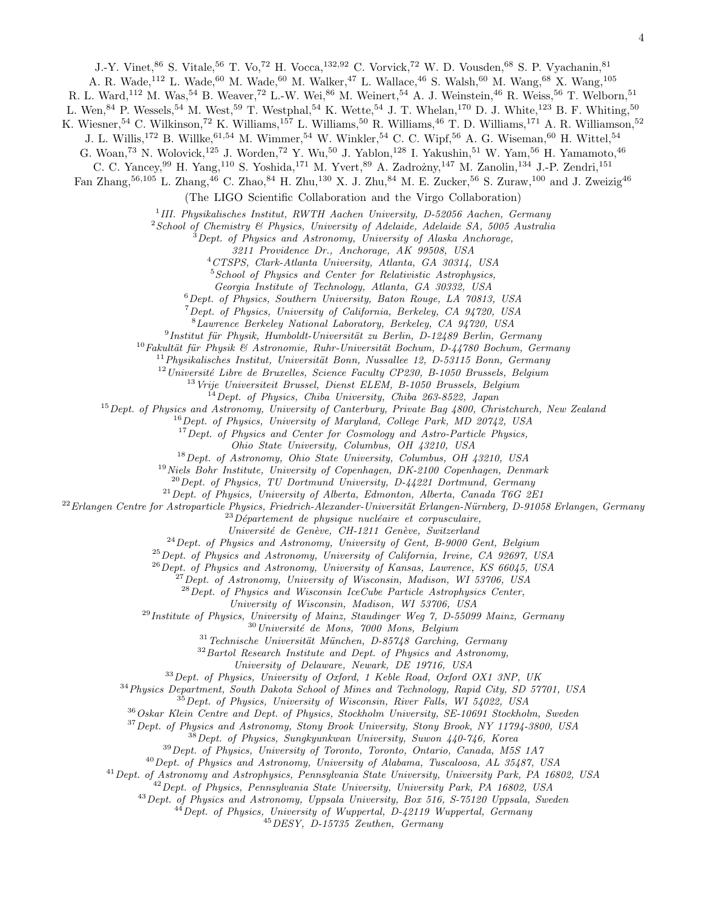J.-Y. Vinet, <sup>86</sup> S. Vitale, <sup>56</sup> T. Vo, <sup>72</sup> H. Vocca, <sup>132, 92</sup> C. Vorvick, <sup>72</sup> W. D. Vousden, <sup>68</sup> S. P. Vyachanin, <sup>81</sup>

A. R. Wade,<sup>112</sup> L. Wade,<sup>60</sup> M. Wade,<sup>60</sup> M. Walker,<sup>47</sup> L. Wallace,<sup>46</sup> S. Walsh,<sup>60</sup> M. Wang,<sup>68</sup> X. Wang,<sup>105</sup>

R. L. Ward,<sup>112</sup> M. Was,<sup>54</sup> B. Weaver,<sup>72</sup> L.-W. Wei,<sup>86</sup> M. Weinert,<sup>54</sup> A. J. Weinstein,<sup>46</sup> R. Weiss,<sup>56</sup> T. Welborn,<sup>51</sup>

L. Wen,  $84$  P. Wessels,  $54$  M. West,  $59$  T. Westphal,  $54$  K. Wette,  $54$  J. T. Whelan,  $170$  D. J. White,  $123$  B. F. Whiting,  $50$ 

K. Wiesner,<sup>54</sup> C. Wilkinson,<sup>72</sup> K. Williams,<sup>157</sup> L. Williams,<sup>50</sup> R. Williams,<sup>46</sup> T. D. Williams,<sup>171</sup> A. R. Williamson,<sup>52</sup>

J. L. Willis,<sup>172</sup> B. Willke,<sup>61,54</sup> M. Wimmer,<sup>54</sup> W. Winkler,<sup>54</sup> C. C. Wipf,<sup>56</sup> A. G. Wiseman,<sup>60</sup> H. Wittel,<sup>54</sup>

G. Woan,<sup>73</sup> N. Wolovick,<sup>125</sup> J. Worden,<sup>72</sup> Y. Wu,<sup>50</sup> J. Yablon,<sup>128</sup> I. Yakushin,<sup>51</sup> W. Yam,<sup>56</sup> H. Yamamoto,<sup>46</sup>

C. C. Yancey, <sup>99</sup> H. Yang, <sup>110</sup> S. Yoshida, <sup>171</sup> M. Yvert, <sup>89</sup> A. Zadrożny, <sup>147</sup> M. Zanolin, <sup>134</sup> J.-P. Zendri, <sup>151</sup>

Fan Zhang,<sup>56,105</sup> L. Zhang,<sup>46</sup> C. Zhao,<sup>84</sup> H. Zhu,<sup>130</sup> X. J. Zhu,<sup>84</sup> M. E. Zucker,<sup>56</sup> S. Zuraw,<sup>100</sup> and J. Zweizig<sup>46</sup>

(The LIGO Scientific Collaboration and the Virgo Collaboration)

<sup>1</sup>III. Physikalisches Institut, RWTH Aachen University, D-52056 Aachen, Germany

 $2$ School of Chemistry  $\mathcal B$  Physics, University of Adelaide, Adelaide SA, 5005 Australia

 $3$ Dept. of Physics and Astronomy, University of Alaska Anchorage,

3211 Providence Dr., Anchorage, AK 99508, USA

<sup>4</sup>CTSPS, Clark-Atlanta University, Atlanta, GA 30314, USA

<sup>5</sup> School of Physics and Center for Relativistic Astrophysics,

Georgia Institute of Technology, Atlanta, GA 30332, USA

<sup>6</sup>Dept. of Physics, Southern University, Baton Rouge, LA 70813, USA

 $7$  Dept. of Physics, University of California, Berkeley, CA 94720, USA <sup>8</sup>Lawrence Berkeley National Laboratory, Berkeley, CA 94720, USA

 $^9$ Institut für Physik, Humboldt-Universität zu Berlin, D-12489 Berlin, Germany

 $10$ Fakultät für Physik & Astronomie, Ruhr-Universität Bochum, D-44780 Bochum, Germany

 $11$ Physikalisches Institut, Universität Bonn, Nussallee 12, D-53115 Bonn, Germany  $12$ Université Libre de Bruxelles, Science Faculty CP230, B-1050 Brussels, Belgium

<sup>13</sup> Vrije Universiteit Brussel, Dienst ELEM, B-1050 Brussels, Belgium

 $14$  Dept. of Physics, Chiba University, Chiba 263-8522, Japan

<sup>15</sup> Dept. of Physics and Astronomy, University of Canterbury, Private Bag 4800, Christchurch, New Zealand

<sup>16</sup> Dept. of Physics, University of Maryland, College Park, MD 20742, USA

 $17$  Dept. of Physics and Center for Cosmology and Astro-Particle Physics,

Ohio State University, Columbus, OH 43210, USA

 $18$  Dept. of Astronomy, Ohio State University, Columbus, OH 43210, USA

<sup>19</sup> Niels Bohr Institute, University of Copenhagen, DK-2100 Copenhagen, Denmark

 $^{20}$  Dept. of Physics, TU Dortmund University, D-44221 Dortmund, Germany

 $^{21}$  Dept. of Physics, University of Alberta, Edmonton, Alberta, Canada T6G 2E1

 $^{22}$ Erlangen Centre for Astroparticle Physics, Friedrich-Alexander-Universität Erlangen-Nürnberg, D-91058 Erlangen, Germany

 $23\,\text{D}$ épartement de physique nucléaire et corpusculaire,

Université de Genève, CH-1211 Genève, Switzerland

 $^{24}$ Dept. of Physics and Astronomy, University of Gent, B-9000 Gent, Belgium

 $^{25}$  Dept. of Physics and Astronomy, University of California, Irvine, CA 92697, USA

 $^{26}$ Dept. of Physics and Astronomy, University of Kansas, Lawrence, KS 66045, USA

 $^{27}$ Dept. of Astronomy, University of Wisconsin, Madison, WI 53706, USA

 $^{28}$ Dept. of Physics and Wisconsin IceCube Particle Astrophysics Center,

University of Wisconsin, Madison, WI 53706, USA

 $^{29}$ Institute of Physics, University of Mainz, Staudinger Weg 7, D-55099 Mainz, Germany

 $30$ Université de Mons, 7000 Mons, Belgium

 $31$ Technische Universität München, D-85748 Garching, Germany

 $32$ Bartol Research Institute and Dept. of Physics and Astronomy,

University of Delaware, Newark, DE 19716, USA

<sup>33</sup> Dept. of Physics, University of Oxford, 1 Keble Road, Oxford OX1 3NP, UK

<sup>34</sup>Physics Department, South Dakota School of Mines and Technology, Rapid City, SD 57701, USA

 $35$  Dept. of Physics, University of Wisconsin, River Falls, WI 54022, USA

<sup>36</sup> Oskar Klein Centre and Dept. of Physics, Stockholm University, SE-10691 Stockholm, Sweden

<sup>37</sup>Dept. of Physics and Astronomy, Stony Brook University, Stony Brook, NY 11794-3800, USA

 $38$  Dept. of Physics, Sungkyunkwan University, Suwon 440-746, Korea

 $39$  Dept. of Physics, University of Toronto, Toronto, Ontario, Canada, M5S 1A7

<sup>40</sup>Dept. of Physics and Astronomy, University of Alabama, Tuscaloosa, AL 35487, USA

 $^{41}$ Dept. of Astronomy and Astrophysics, Pennsylvania State University, University Park, PA 16802, USA

 $^{42}$ Dept. of Physics, Pennsylvania State University, University Park, PA 16802, USA

 $^{43}$ Dept. of Physics and Astronomy, Uppsala University, Box 516, S-75120 Uppsala, Sweden

 $^{44}$ Dept. of Physics, University of Wuppertal, D-42119 Wuppertal, Germany

<sup>45</sup>DESY, D-15735 Zeuthen, Germany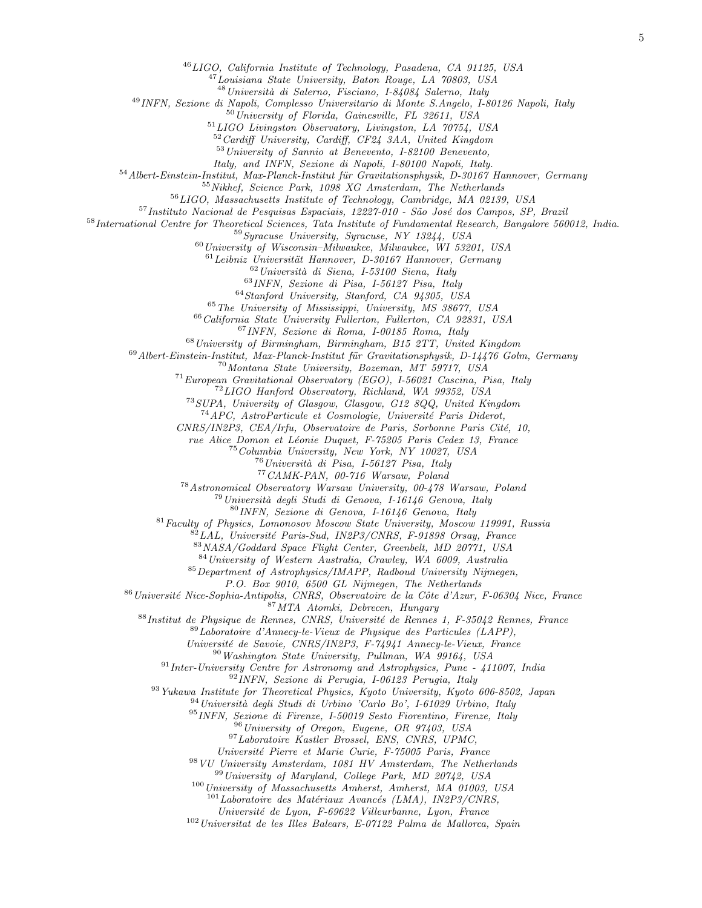LIGO, California Institute of Technology, Pasadena, CA 91125, USA

Louisiana State University, Baton Rouge, LA 70803, USA

 $^{48}$ Università di Salerno, Fisciano, I-84084 Salerno, Italy

INFN, Sezione di Napoli, Complesso Universitario di Monte S.Angelo, I-80126 Napoli, Italy

University of Florida, Gainesville, FL 32611, USA

LIGO Livingston Observatory, Livingston, LA 70754, USA

Cardiff University, Cardiff, CF24 3AA, United Kingdom

University of Sannio at Benevento, I-82100 Benevento,

Italy, and INFN, Sezione di Napoli, I-80100 Napoli, Italy.

 $^{54}$ Albert-Einstein-Institut, Max-Planck-Institut für Gravitationsphysik, D-30167 Hannover, Germany

Nikhef, Science Park, 1098 XG Amsterdam, The Netherlands

LIGO, Massachusetts Institute of Technology, Cambridge, MA 02139, USA

Instituto Nacional de Pesquisas Espaciais, 12227-010 - São José dos Campos, SP, Brazil

International Centre for Theoretical Sciences, Tata Institute of Fundamental Research, Bangalore 560012, India.

Syracuse University, Syracuse, NY 13244, USA

University of Wisconsin-Milwaukee, Milwaukee, WI 53201, USA

 $^{61}$ Leibniz Universität Hannover, D-30167 Hannover, Germany

Università di Siena, I-53100 Siena, Italy

INFN, Sezione di Pisa, I-56127 Pisa, Italy

Stanford University, Stanford, CA 94305, USA

The University of Mississippi, University, MS 38677, USA

California State University Fullerton, Fullerton, CA 92831, USA

INFN, Sezione di Roma, I-00185 Roma, Italy

University of Birmingham, Birmingham, B15 2TT, United Kingdom

 $^{69}\emph{Albert-Einstein-Institut, Max-Planck-Institut für Gravitationsphysik, D-14476 Golm, Germany}$ 

Montana State University, Bozeman, MT 59717, USA

European Gravitational Observatory (EGO), I-56021 Cascina, Pisa, Italy

LIGO Hanford Observatory, Richland, WA 99352, USA

SUPA, University of Glasgow, Glasgow, G12 8QQ, United Kingdom

<sup>74</sup> APC, AstroParticule et Cosmologie, Université Paris Diderot,

CNRS/IN2P3, CEA/Irfu, Observatoire de Paris, Sorbonne Paris Cité, 10,

rue Alice Domon et Léonie Duquet, F-75205 Paris Cedex 13, France

Columbia University, New York, NY 10027, USA

 $^{76}$ Università di Pisa, I-56127 Pisa, Italy

CAMK-PAN, 00-716 Warsaw, Poland

Astronomical Observatory Warsaw University, 00-478 Warsaw, Poland

 $^{79}$ Università degli Studi di Genova, I-16146 Genova, Italy

INFN, Sezione di Genova, I-16146 Genova, Italy

Faculty of Physics, Lomonosov Moscow State University, Moscow 119991, Russia

LAL, Université Paris-Sud, IN2P3/CNRS, F-91898 Orsay, France

NASA/Goddard Space Flight Center, Greenbelt, MD 20771, USA

University of Western Australia, Crawley, WA 6009, Australia

Department of Astrophysics/IMAPP, Radboud University Nijmegen,

P.O. Box 9010, 6500 GL Nijmegen, The Netherlands

<sup>86</sup> Université Nice-Sophia-Antipolis, CNRS, Observatoire de la Côte d'Azur, F-06304 Nice, France MTA Atomki, Debrecen, Hungary

Institut de Physique de Rennes, CNRS, Université de Rennes 1, F-35042 Rennes, France

Laboratoire d'Annecy-le-Vieux de Physique des Particules (LAPP),

Université de Savoie, CNRS/IN2P3, F-74941 Annecy-le-Vieux, France

Washington State University, Pullman, WA 99164, USA

Inter-University Centre for Astronomy and Astrophysics, Pune - 411007, India

INFN, Sezione di Perugia, I-06123 Perugia, Italy

Yukawa Institute for Theoretical Physics, Kyoto University, Kyoto 606-8502, Japan

 $^{94}$ Università degli Studi di Urbino 'Carlo Bo', I-61029 Urbino, Italy

INFN, Sezione di Firenze, I-50019 Sesto Fiorentino, Firenze, Italy

University of Oregon, Eugene, OR 97403, USA

Laboratoire Kastler Brossel, ENS, CNRS, UPMC,

Universit´e Pierre et Marie Curie, F-75005 Paris, France

 $98 VU$  University Amsterdam, 1081 HV Amsterdam, The Netherlands

University of Maryland, College Park, MD 20742, USA

University of Massachusetts Amherst, Amherst, MA 01003, USA

 $^{101}$ Laboratoire des Matériaux Avancés (LMA), IN2P3/CNRS,

Universit´e de Lyon, F-69622 Villeurbanne, Lyon, France

Universitat de les Illes Balears, E-07122 Palma de Mallorca, Spain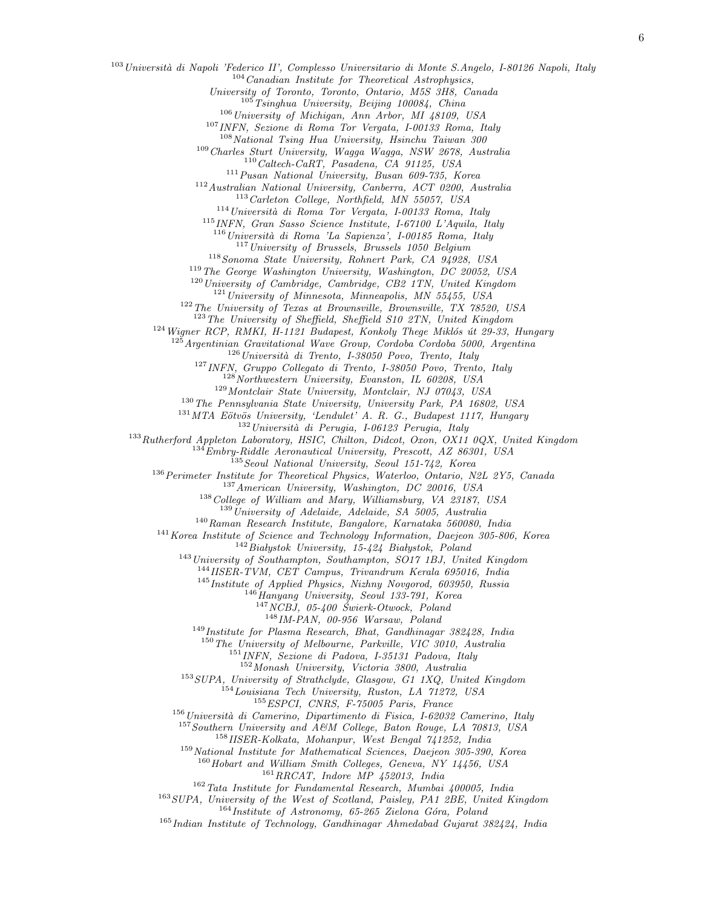<sup>103</sup> Università di Napoli 'Federico II', Complesso Universitario di Monte S.Angelo, I-80126 Napoli, Italy

Canadian Institute for Theoretical Astrophysics,

University of Toronto, Toronto, Ontario, M5S 3H8, Canada

Tsinghua University, Beijing 100084, China

University of Michigan, Ann Arbor, MI 48109, USA

INFN, Sezione di Roma Tor Vergata, I-00133 Roma, Italy

National Tsing Hua University, Hsinchu Taiwan 300

Charles Sturt University, Wagga Wagga, NSW 2678, Australia

Caltech-CaRT, Pasadena, CA 91125, USA

Pusan National University, Busan 609-735, Korea

Australian National University, Canberra, ACT 0200, Australia

Carleton College, Northfield, MN 55057, USA

Università di Roma Tor Vergata, I-00133 Roma, Italy

INFN, Gran Sasso Science Institute, I-67100 L'Aquila, Italy

Università di Roma 'La Sapienza', I-00185 Roma, Italy

University of Brussels, Brussels 1050 Belgium

Sonoma State University, Rohnert Park, CA 94928, USA

The George Washington University, Washington, DC 20052, USA

<sup>120</sup> University of Cambridge, Cambridge, CB2 1TN, United Kingdom

University of Minnesota, Minneapolis, MN 55455, USA

<sup>122</sup> The University of Texas at Brownsville, Brownsville, TX 78520, USA

The University of Sheffield, Sheffield S10 2TN, United Kingdom

Wigner RCP, RMKI, H-1121 Budapest, Konkoly Thege Miklós út 29-33, Hungary

Argentinian Gravitational Wave Group, Cordoba Cordoba 5000, Argentina

Università di Trento, I-38050 Povo, Trento, Italy

INFN, Gruppo Collegato di Trento, I-38050 Povo, Trento, Italy

Northwestern University, Evanston, IL 60208, USA

Montclair State University, Montclair, NJ 07043, USA

The Pennsylvania State University, University Park, PA 16802, USA

MTA Eötvös University, 'Lendulet' A. R. G., Budapest 1117, Hungary

Università di Perugia, I-06123 Perugia, Italy

Rutherford Appleton Laboratory, HSIC, Chilton, Didcot, Oxon, OX11 0QX, United Kingdom

 $^{134}$ Embry-Riddle Aeronautical University, Prescott, AZ 86301, USA

 $^{135}$ Seoul National University, Seoul 151-742, Korea

Perimeter Institute for Theoretical Physics, Waterloo, Ontario, N2L 2Y5, Canada

American University, Washington, DC 20016, USA

<sup>138</sup> College of William and Mary, Williamsburg, VA 23187, USA

University of Adelaide, Adelaide, SA 5005, Australia

Raman Research Institute, Bangalore, Karnataka 560080, India

<sup>141</sup> Korea Institute of Science and Technology Information, Daejeon 305-806, Korea

Białystok University, 15-424 Białystok, Poland

 $^{143}$ University of Southampton, Southampton, SO17 1BJ, United Kingdom

IISER-TVM, CET Campus, Trivandrum Kerala 695016, India

Institute of Applied Physics, Nizhny Novgorod, 603950, Russia

 $^{146}$ Hanyang University, Seoul 133-791, Korea

NCBJ, 05-400 Swierk-Otwock, Poland

IM-PAN, 00-956 Warsaw, Poland

Institute for Plasma Research, Bhat, Gandhinagar 382428, India

The University of Melbourne, Parkville, VIC 3010, Australia

INFN, Sezione di Padova, I-35131 Padova, Italy

Monash University, Victoria 3800, Australia

SUPA, University of Strathclyde, Glasgow, G1 1XQ, United Kingdom

Louisiana Tech University, Ruston, LA 71272, USA

ESPCI, CNRS, F-75005 Paris, France

Università di Camerino, Dipartimento di Fisica, I-62032 Camerino, Italy

Southern University and A&M College, Baton Rouge, LA 70813, USA

IISER-Kolkata, Mohanpur, West Bengal 741252, India

<sup>159</sup>National Institute for Mathematical Sciences, Daejeon 305-390, Korea

 $^{160}$ Hobart and William Smith Colleges, Geneva, NY 14456, USA

RRCAT, Indore MP 452013, India

Tata Institute for Fundamental Research, Mumbai 400005, India

SUPA, University of the West of Scotland, Paisley, PA1 2BE, United Kingdom

Institute of Astronomy, 65-265 Zielona Góra, Poland

Indian Institute of Technology, Gandhinagar Ahmedabad Gujarat 382424, India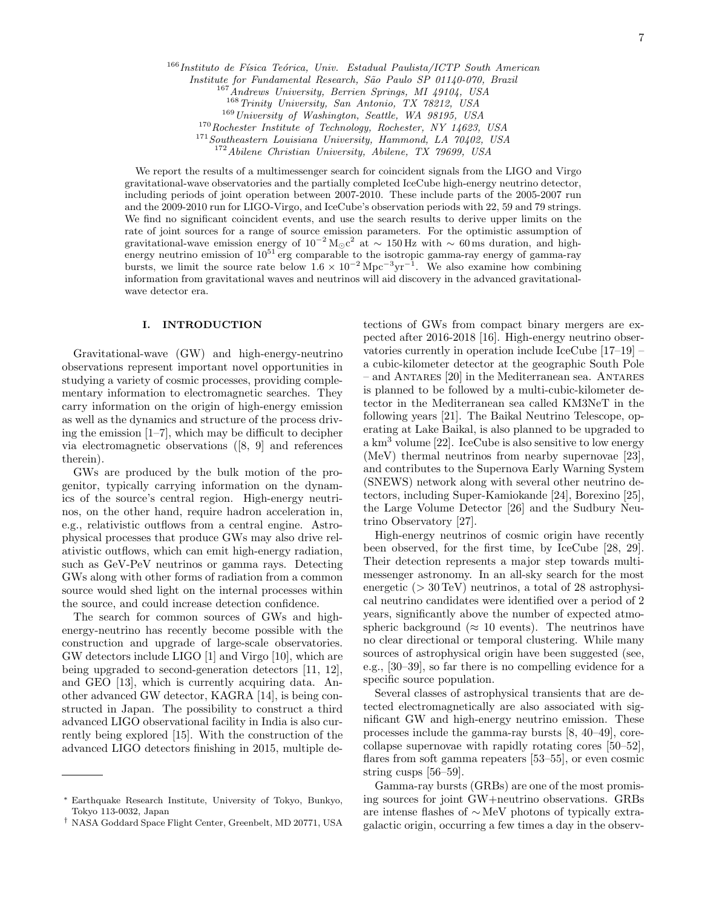$166$ Instituto de Física Teórica, Univ. Estadual Paulista/ICTP South American

Institute for Fundamental Research, São Paulo SP 01140-070, Brazil

Andrews University, Berrien Springs, MI 49104, USA

<sup>168</sup>Trinity University, San Antonio, TX 78212, USA

<sup>169</sup>University of Washington, Seattle, WA 98195, USA

<sup>170</sup>Rochester Institute of Technology, Rochester, NY 14623, USA

<sup>171</sup>Southeastern Louisiana University, Hammond, LA 70402, USA

<sup>172</sup>Abilene Christian University, Abilene, TX 79699, USA

We report the results of a multimessenger search for coincident signals from the LIGO and Virgo gravitational-wave observatories and the partially completed IceCube high-energy neutrino detector, including periods of joint operation between 2007-2010. These include parts of the 2005-2007 run and the 2009-2010 run for LIGO-Virgo, and IceCube's observation periods with 22, 59 and 79 strings. We find no significant coincident events, and use the search results to derive upper limits on the rate of joint sources for a range of source emission parameters. For the optimistic assumption of gravitational-wave emission energy of  $10^{-2} M_{\odot} c^2$  at  $\sim 150$  Hz with  $\sim 60$  ms duration, and highenergy neutrino emission of  $10^{51}$  erg comparable to the isotropic gamma-ray energy of gamma-ray bursts, we limit the source rate below  $1.6 \times 10^{-2}$  Mpc<sup>-3</sup>yr<sup>-1</sup>. We also examine how combining information from gravitational waves and neutrinos will aid discovery in the advanced gravitationalwave detector era.

#### I. INTRODUCTION

Gravitational-wave (GW) and high-energy-neutrino observations represent important novel opportunities in studying a variety of cosmic processes, providing complementary information to electromagnetic searches. They carry information on the origin of high-energy emission as well as the dynamics and structure of the process driving the emission  $[1-7]$ , which may be difficult to decipher via electromagnetic observations ([8, 9] and references therein).

GWs are produced by the bulk motion of the progenitor, typically carrying information on the dynamics of the source's central region. High-energy neutrinos, on the other hand, require hadron acceleration in, e.g., relativistic outflows from a central engine. Astrophysical processes that produce GWs may also drive relativistic outflows, which can emit high-energy radiation, such as GeV-PeV neutrinos or gamma rays. Detecting GWs along with other forms of radiation from a common source would shed light on the internal processes within the source, and could increase detection confidence.

The search for common sources of GWs and highenergy-neutrino has recently become possible with the construction and upgrade of large-scale observatories. GW detectors include LIGO [1] and Virgo [10], which are being upgraded to second-generation detectors [11, 12], and GEO [13], which is currently acquiring data. Another advanced GW detector, KAGRA [14], is being constructed in Japan. The possibility to construct a third advanced LIGO observational facility in India is also currently being explored [15]. With the construction of the advanced LIGO detectors finishing in 2015, multiple de-

tections of GWs from compact binary mergers are expected after 2016-2018 [16]. High-energy neutrino observatories currently in operation include IceCube [17–19] – a cubic-kilometer detector at the geographic South Pole – and Antares [20] in the Mediterranean sea. Antares is planned to be followed by a multi-cubic-kilometer detector in the Mediterranean sea called KM3NeT in the following years [21]. The Baikal Neutrino Telescope, operating at Lake Baikal, is also planned to be upgraded to a  $km<sup>3</sup>$  volume [22]. IceCube is also sensitive to low energy (MeV) thermal neutrinos from nearby supernovae [23], and contributes to the Supernova Early Warning System (SNEWS) network along with several other neutrino detectors, including Super-Kamiokande [24], Borexino [25], the Large Volume Detector [26] and the Sudbury Neutrino Observatory [27].

High-energy neutrinos of cosmic origin have recently been observed, for the first time, by IceCube [28, 29]. Their detection represents a major step towards multimessenger astronomy. In an all-sky search for the most energetic ( $> 30 \,\text{TeV}$ ) neutrinos, a total of 28 astrophysical neutrino candidates were identified over a period of 2 years, significantly above the number of expected atmospheric background ( $\approx 10$  events). The neutrinos have no clear directional or temporal clustering. While many sources of astrophysical origin have been suggested (see, e.g., [30–39], so far there is no compelling evidence for a specific source population.

Several classes of astrophysical transients that are detected electromagnetically are also associated with significant GW and high-energy neutrino emission. These processes include the gamma-ray bursts [8, 40–49], corecollapse supernovae with rapidly rotating cores [50–52], flares from soft gamma repeaters [53–55], or even cosmic string cusps [56–59].

Gamma-ray bursts (GRBs) are one of the most promising sources for joint GW+neutrino observations. GRBs are intense flashes of ∼ MeV photons of typically extragalactic origin, occurring a few times a day in the observ-

<sup>∗</sup> Earthquake Research Institute, University of Tokyo, Bunkyo, Tokyo 113-0032, Japan

<sup>†</sup> NASA Goddard Space Flight Center, Greenbelt, MD 20771, USA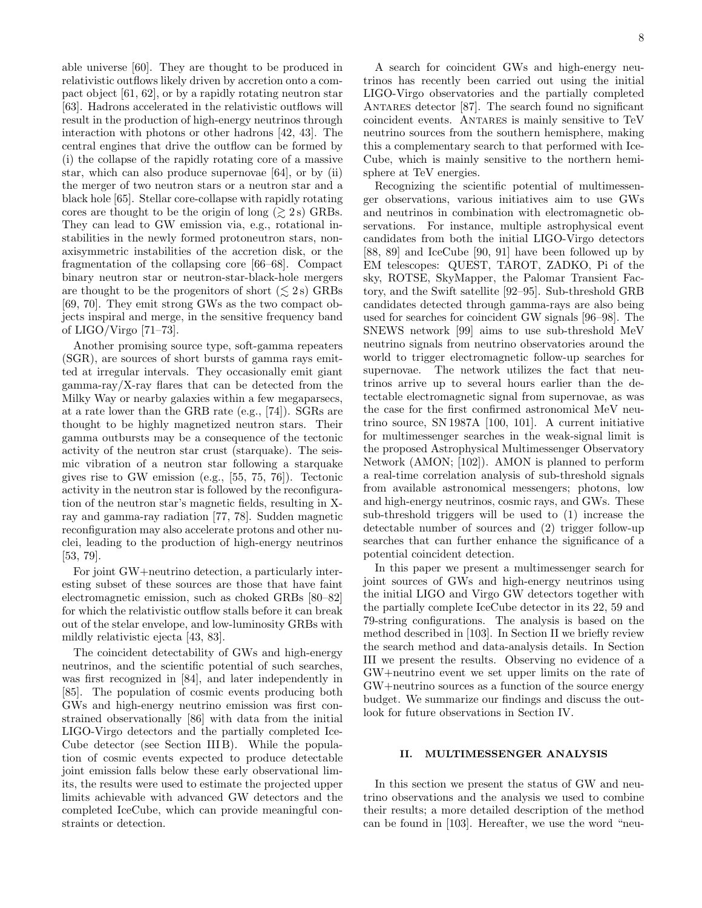able universe [60]. They are thought to be produced in relativistic outflows likely driven by accretion onto a compact object [61, 62], or by a rapidly rotating neutron star [63]. Hadrons accelerated in the relativistic outflows will result in the production of high-energy neutrinos through interaction with photons or other hadrons [42, 43]. The central engines that drive the outflow can be formed by (i) the collapse of the rapidly rotating core of a massive star, which can also produce supernovae [64], or by (ii) the merger of two neutron stars or a neutron star and a black hole [65]. Stellar core-collapse with rapidly rotating cores are thought to be the origin of long  $(\gtrsim 2 \text{ s})$  GRBs. They can lead to GW emission via, e.g., rotational instabilities in the newly formed protoneutron stars, nonaxisymmetric instabilities of the accretion disk, or the fragmentation of the collapsing core [66–68]. Compact binary neutron star or neutron-star-black-hole mergers are thought to be the progenitors of short  $(\leq 2 \text{ s})$  GRBs [69, 70]. They emit strong GWs as the two compact objects inspiral and merge, in the sensitive frequency band of LIGO/Virgo [71–73].

Another promising source type, soft-gamma repeaters (SGR), are sources of short bursts of gamma rays emitted at irregular intervals. They occasionally emit giant gamma-ray/X-ray flares that can be detected from the Milky Way or nearby galaxies within a few megaparsecs, at a rate lower than the GRB rate (e.g., [74]). SGRs are thought to be highly magnetized neutron stars. Their gamma outbursts may be a consequence of the tectonic activity of the neutron star crust (starquake). The seismic vibration of a neutron star following a starquake gives rise to GW emission (e.g., [55, 75, 76]). Tectonic activity in the neutron star is followed by the reconfiguration of the neutron star's magnetic fields, resulting in Xray and gamma-ray radiation [77, 78]. Sudden magnetic reconfiguration may also accelerate protons and other nuclei, leading to the production of high-energy neutrinos [53, 79].

For joint GW+neutrino detection, a particularly interesting subset of these sources are those that have faint electromagnetic emission, such as choked GRBs [80–82] for which the relativistic outflow stalls before it can break out of the stelar envelope, and low-luminosity GRBs with mildly relativistic ejecta [43, 83].

The coincident detectability of GWs and high-energy neutrinos, and the scientific potential of such searches, was first recognized in [84], and later independently in [85]. The population of cosmic events producing both GWs and high-energy neutrino emission was first constrained observationally [86] with data from the initial LIGO-Virgo detectors and the partially completed Ice-Cube detector (see Section III B). While the population of cosmic events expected to produce detectable joint emission falls below these early observational limits, the results were used to estimate the projected upper limits achievable with advanced GW detectors and the completed IceCube, which can provide meaningful constraints or detection.

A search for coincident GWs and high-energy neutrinos has recently been carried out using the initial LIGO-Virgo observatories and the partially completed ANTARES detector [87]. The search found no significant coincident events. Antares is mainly sensitive to TeV neutrino sources from the southern hemisphere, making this a complementary search to that performed with Ice-Cube, which is mainly sensitive to the northern hemisphere at TeV energies.

Recognizing the scientific potential of multimessenger observations, various initiatives aim to use GWs and neutrinos in combination with electromagnetic observations. For instance, multiple astrophysical event candidates from both the initial LIGO-Virgo detectors [88, 89] and IceCube [90, 91] have been followed up by EM telescopes: QUEST, TAROT, ZADKO, Pi of the sky, ROTSE, SkyMapper, the Palomar Transient Factory, and the Swift satellite [92–95]. Sub-threshold GRB candidates detected through gamma-rays are also being used for searches for coincident GW signals [96–98]. The SNEWS network [99] aims to use sub-threshold MeV neutrino signals from neutrino observatories around the world to trigger electromagnetic follow-up searches for supernovae. The network utilizes the fact that neutrinos arrive up to several hours earlier than the detectable electromagnetic signal from supernovae, as was the case for the first confirmed astronomical MeV neutrino source, SN 1987A [100, 101]. A current initiative for multimessenger searches in the weak-signal limit is the proposed Astrophysical Multimessenger Observatory Network (AMON; [102]). AMON is planned to perform a real-time correlation analysis of sub-threshold signals from available astronomical messengers; photons, low and high-energy neutrinos, cosmic rays, and GWs. These sub-threshold triggers will be used to (1) increase the detectable number of sources and (2) trigger follow-up searches that can further enhance the significance of a potential coincident detection.

In this paper we present a multimessenger search for joint sources of GWs and high-energy neutrinos using the initial LIGO and Virgo GW detectors together with the partially complete IceCube detector in its 22, 59 and 79-string configurations. The analysis is based on the method described in [103]. In Section II we briefly review the search method and data-analysis details. In Section III we present the results. Observing no evidence of a GW+neutrino event we set upper limits on the rate of GW+neutrino sources as a function of the source energy budget. We summarize our findings and discuss the outlook for future observations in Section IV.

## II. MULTIMESSENGER ANALYSIS

In this section we present the status of GW and neutrino observations and the analysis we used to combine their results; a more detailed description of the method can be found in [103]. Hereafter, we use the word "neu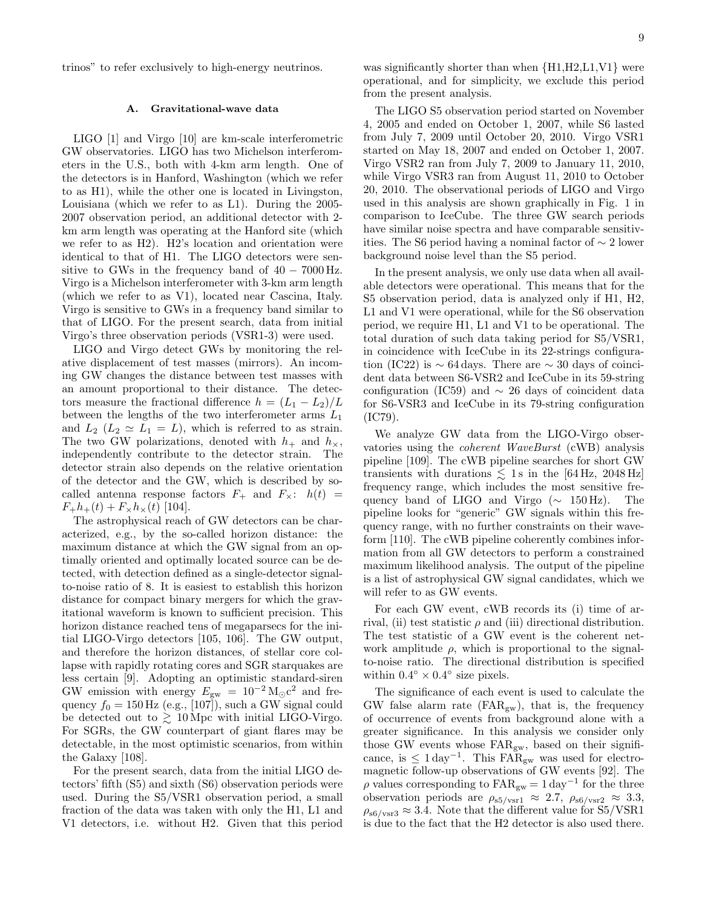trinos" to refer exclusively to high-energy neutrinos.

#### A. Gravitational-wave data

LIGO [1] and Virgo [10] are km-scale interferometric GW observatories. LIGO has two Michelson interferometers in the U.S., both with 4-km arm length. One of the detectors is in Hanford, Washington (which we refer to as H1), while the other one is located in Livingston, Louisiana (which we refer to as L1). During the 2005- 2007 observation period, an additional detector with 2 km arm length was operating at the Hanford site (which we refer to as H2). H2's location and orientation were identical to that of H1. The LIGO detectors were sensitive to GWs in the frequency band of  $40 - 7000$  Hz. Virgo is a Michelson interferometer with 3-km arm length (which we refer to as V1), located near Cascina, Italy. Virgo is sensitive to GWs in a frequency band similar to that of LIGO. For the present search, data from initial Virgo's three observation periods (VSR1-3) were used.

LIGO and Virgo detect GWs by monitoring the relative displacement of test masses (mirrors). An incoming GW changes the distance between test masses with an amount proportional to their distance. The detectors measure the fractional difference  $h = (L_1 - L_2)/L$ between the lengths of the two interferometer arms  $L_1$ and  $L_2$  ( $L_2 \simeq L_1 = L$ ), which is referred to as strain. The two GW polarizations, denoted with  $h_+$  and  $h_{\times}$ , independently contribute to the detector strain. The detector strain also depends on the relative orientation of the detector and the GW, which is described by socalled antenna response factors  $F_{+}$  and  $F_{\times}$ :  $h(t)$  =  $F_{+}h_{+}(t) + F_{\times}h_{\times}(t)$  [104].

The astrophysical reach of GW detectors can be characterized, e.g., by the so-called horizon distance: the maximum distance at which the GW signal from an optimally oriented and optimally located source can be detected, with detection defined as a single-detector signalto-noise ratio of 8. It is easiest to establish this horizon distance for compact binary mergers for which the gravitational waveform is known to sufficient precision. This horizon distance reached tens of megaparsecs for the initial LIGO-Virgo detectors [105, 106]. The GW output, and therefore the horizon distances, of stellar core collapse with rapidly rotating cores and SGR starquakes are less certain [9]. Adopting an optimistic standard-siren GW emission with energy  $E_{\text{gw}} = 10^{-2} \text{ M}_{\odot} \text{c}^2$  and frequency  $f_0 = 150$  Hz (e.g., [107]), such a GW signal could be detected out to  $\gtrsim 10$  Mpc with initial LIGO-Virgo. For SGRs, the GW counterpart of giant flares may be detectable, in the most optimistic scenarios, from within the Galaxy [108].

For the present search, data from the initial LIGO detectors' fifth (S5) and sixth (S6) observation periods were used. During the S5/VSR1 observation period, a small fraction of the data was taken with only the H1, L1 and V1 detectors, i.e. without H2. Given that this period

was significantly shorter than when  ${H1,H2, L1,V1}$  were operational, and for simplicity, we exclude this period from the present analysis.

The LIGO S5 observation period started on November 4, 2005 and ended on October 1, 2007, while S6 lasted from July 7, 2009 until October 20, 2010. Virgo VSR1 started on May 18, 2007 and ended on October 1, 2007. Virgo VSR2 ran from July 7, 2009 to January 11, 2010, while Virgo VSR3 ran from August 11, 2010 to October 20, 2010. The observational periods of LIGO and Virgo used in this analysis are shown graphically in Fig. 1 in comparison to IceCube. The three GW search periods have similar noise spectra and have comparable sensitivities. The S6 period having a nominal factor of ∼ 2 lower background noise level than the S5 period.

In the present analysis, we only use data when all available detectors were operational. This means that for the S5 observation period, data is analyzed only if H1, H2, L1 and V1 were operational, while for the S6 observation period, we require H1, L1 and V1 to be operational. The total duration of such data taking period for S5/VSR1, in coincidence with IceCube in its 22-strings configuration (IC22) is  $\sim$  64 days. There are  $\sim$  30 days of coincident data between S6-VSR2 and IceCube in its 59-string configuration (IC59) and  $\sim$  26 days of coincident data for S6-VSR3 and IceCube in its 79-string configuration (IC79).

We analyze GW data from the LIGO-Virgo observatories using the coherent WaveBurst (cWB) analysis pipeline [109]. The cWB pipeline searches for short GW transients with durations  $\leq 1$ s in the [64 Hz, 2048 Hz] frequency range, which includes the most sensitive frequency band of LIGO and Virgo (∼ 150 Hz). The pipeline looks for "generic" GW signals within this frequency range, with no further constraints on their waveform [110]. The cWB pipeline coherently combines information from all GW detectors to perform a constrained maximum likelihood analysis. The output of the pipeline is a list of astrophysical GW signal candidates, which we will refer to as GW events.

For each GW event, cWB records its (i) time of arrival, (ii) test statistic  $\rho$  and (iii) directional distribution. The test statistic of a GW event is the coherent network amplitude  $\rho$ , which is proportional to the signalto-noise ratio. The directional distribution is specified within  $0.4^{\circ} \times 0.4^{\circ}$  size pixels.

The significance of each event is used to calculate the GW false alarm rate  $\text{(FAR}_{\text{gw}})$ , that is, the frequency of occurrence of events from background alone with a greater significance. In this analysis we consider only those GW events whose  $FAR_{gw}$ , based on their significance, is  $\leq 1 \,\text{day}^{-1}$ . This FAR<sub>gw</sub> was used for electromagnetic follow-up observations of GW events [92]. The  $\rho$  values corresponding to  $FAR_{gw} = 1 \text{ day}^{-1}$  for the three observation periods are  $\rho_{s5/\text{vsr1}} \approx 2.7$ ,  $\rho_{s6/\text{vsr2}} \approx 3.3$ ,  $\rho_{\rm s6/vsr3} \approx 3.4$ . Note that the different value for S5/VSR1 is due to the fact that the H2 detector is also used there.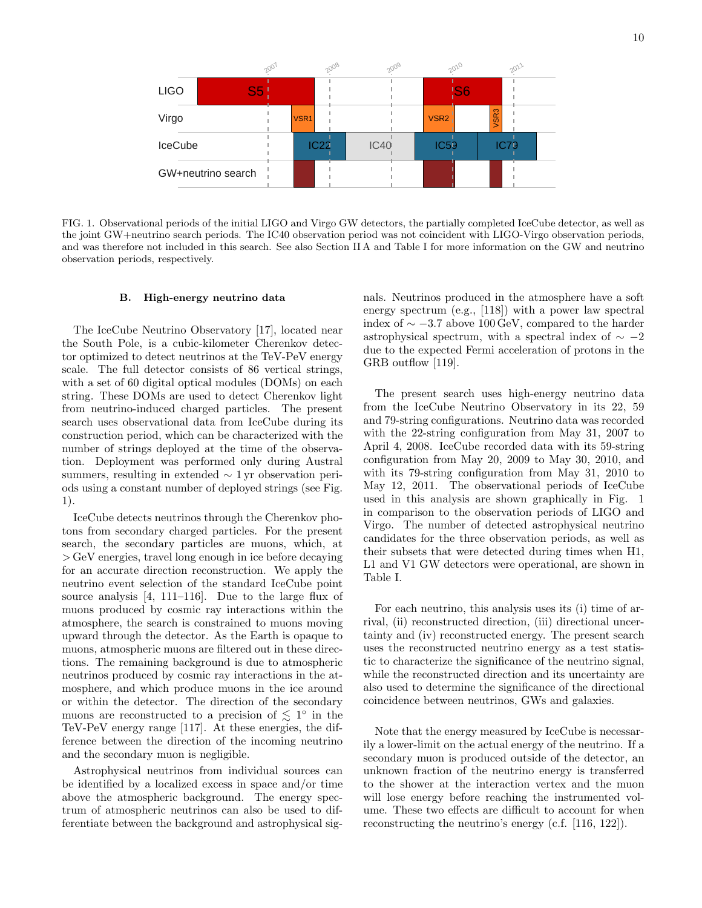

FIG. 1. Observational periods of the initial LIGO and Virgo GW detectors, the partially completed IceCube detector, as well as the joint GW+neutrino search periods. The IC40 observation period was not coincident with LIGO-Virgo observation periods, and was therefore not included in this search. See also Section II A and Table I for more information on the GW and neutrino observation periods, respectively.

#### B. High-energy neutrino data

The IceCube Neutrino Observatory [17], located near the South Pole, is a cubic-kilometer Cherenkov detector optimized to detect neutrinos at the TeV-PeV energy scale. The full detector consists of 86 vertical strings, with a set of 60 digital optical modules (DOMs) on each string. These DOMs are used to detect Cherenkov light from neutrino-induced charged particles. The present search uses observational data from IceCube during its construction period, which can be characterized with the number of strings deployed at the time of the observation. Deployment was performed only during Austral summers, resulting in extended ∼ 1 yr observation periods using a constant number of deployed strings (see Fig. 1).

IceCube detects neutrinos through the Cherenkov photons from secondary charged particles. For the present search, the secondary particles are muons, which, at > GeV energies, travel long enough in ice before decaying for an accurate direction reconstruction. We apply the neutrino event selection of the standard IceCube point source analysis [4, 111–116]. Due to the large flux of muons produced by cosmic ray interactions within the atmosphere, the search is constrained to muons moving upward through the detector. As the Earth is opaque to muons, atmospheric muons are filtered out in these directions. The remaining background is due to atmospheric neutrinos produced by cosmic ray interactions in the atmosphere, and which produce muons in the ice around or within the detector. The direction of the secondary muons are reconstructed to a precision of  $\lesssim 1^{\circ}$  in the TeV-PeV energy range [117]. At these energies, the difference between the direction of the incoming neutrino and the secondary muon is negligible.

Astrophysical neutrinos from individual sources can be identified by a localized excess in space and/or time above the atmospheric background. The energy spectrum of atmospheric neutrinos can also be used to differentiate between the background and astrophysical signals. Neutrinos produced in the atmosphere have a soft energy spectrum (e.g., [118]) with a power law spectral index of  $\sim$  −3.7 above 100 GeV, compared to the harder astrophysical spectrum, with a spectral index of  $\sim -2$ due to the expected Fermi acceleration of protons in the GRB outflow [119].

The present search uses high-energy neutrino data from the IceCube Neutrino Observatory in its 22, 59 and 79-string configurations. Neutrino data was recorded with the 22-string configuration from May 31, 2007 to April 4, 2008. IceCube recorded data with its 59-string configuration from May 20, 2009 to May 30, 2010, and with its 79-string configuration from May 31, 2010 to May 12, 2011. The observational periods of IceCube used in this analysis are shown graphically in Fig. 1 in comparison to the observation periods of LIGO and Virgo. The number of detected astrophysical neutrino candidates for the three observation periods, as well as their subsets that were detected during times when H1, L1 and V1 GW detectors were operational, are shown in Table I.

For each neutrino, this analysis uses its (i) time of arrival, (ii) reconstructed direction, (iii) directional uncertainty and (iv) reconstructed energy. The present search uses the reconstructed neutrino energy as a test statistic to characterize the significance of the neutrino signal, while the reconstructed direction and its uncertainty are also used to determine the significance of the directional coincidence between neutrinos, GWs and galaxies.

Note that the energy measured by IceCube is necessarily a lower-limit on the actual energy of the neutrino. If a secondary muon is produced outside of the detector, an unknown fraction of the neutrino energy is transferred to the shower at the interaction vertex and the muon will lose energy before reaching the instrumented volume. These two effects are difficult to account for when reconstructing the neutrino's energy (c.f. [116, 122]).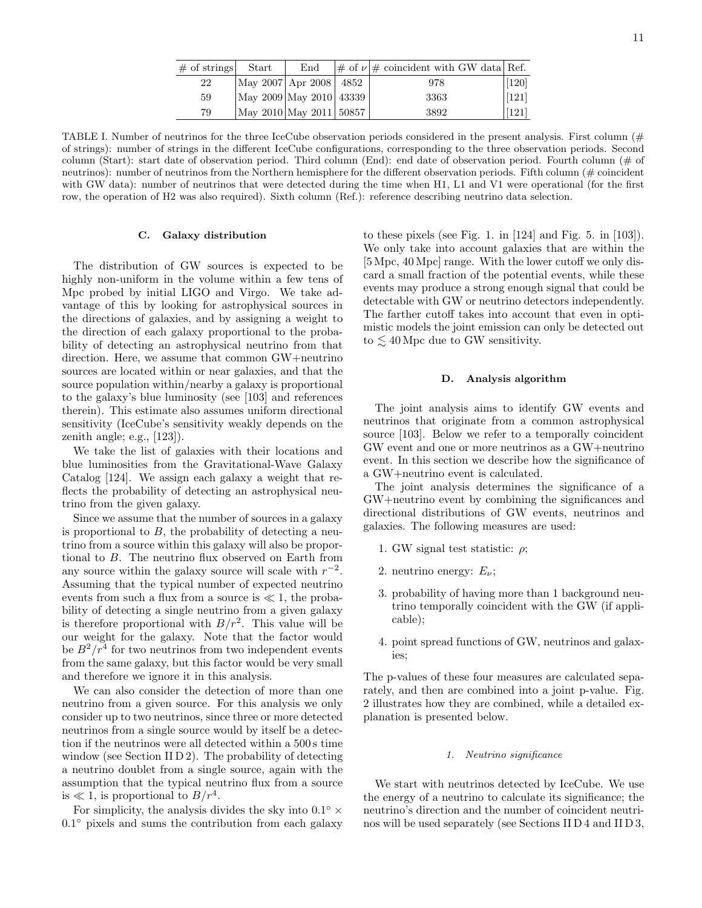| $\#$ of strings | Start                      | End | $\vert \#$ of $\nu \vert \#$ coincident with GW data Ref. |                    |
|-----------------|----------------------------|-----|-----------------------------------------------------------|--------------------|
| 22              | May 2007   Apr 2008   4852 |     | 978                                                       | $[120]$            |
| 59              | May 2009 May 2010 43339    |     | 3363                                                      | $\left[121\right]$ |
| 79              | May 2010 May 2011 50857    |     | 3892                                                      | [121]              |

TABLE I. Number of neutrinos for the three IceCube observation periods considered in the present analysis. First column  $(\#$ of strings): number of strings in the different IceCube configurations, corresponding to the three observation periods. Second column (Start): start date of observation period. Third column (End): end date of observation period. Fourth column (# of neutrinos): number of neutrinos from the Northern hemisphere for the different observation periods. Fifth column (# coincident with GW data): number of neutrinos that were detected during the time when H1, L1 and V1 were operational (for the first row, the operation of H2 was also required). Sixth column (Ref.): reference describing neutrino data selection.

#### C. Galaxy distribution

The distribution of GW sources is expected to be highly non-uniform in the volume within a few tens of Mpc probed by initial LIGO and Virgo. We take advantage of this by looking for astrophysical sources in the directions of galaxies, and by assigning a weight to the direction of each galaxy proportional to the probability of detecting an astrophysical neutrino from that direction. Here, we assume that common GW+neutrino sources are located within or near galaxies, and that the source population within/nearby a galaxy is proportional to the galaxy's blue luminosity (see [103] and references therein). This estimate also assumes uniform directional sensitivity (IceCube's sensitivity weakly depends on the zenith angle; e.g., [123]).

We take the list of galaxies with their locations and blue luminosities from the Gravitational-Wave Galaxy Catalog [124]. We assign each galaxy a weight that reflects the probability of detecting an astrophysical neutrino from the given galaxy.

Since we assume that the number of sources in a galaxy is proportional to  $B$ , the probability of detecting a neutrino from a source within this galaxy will also be proportional to B. The neutrino flux observed on Earth from any source within the galaxy source will scale with  $r^{-2}$ . Assuming that the typical number of expected neutrino events from such a flux from a source is  $\ll 1$ , the probability of detecting a single neutrino from a given galaxy is therefore proportional with  $B/r^2$ . This value will be our weight for the galaxy. Note that the factor would be  $B^2/r^4$  for two neutrinos from two independent events from the same galaxy, but this factor would be very small and therefore we ignore it in this analysis.

We can also consider the detection of more than one neutrino from a given source. For this analysis we only consider up to two neutrinos, since three or more detected neutrinos from a single source would by itself be a detection if the neutrinos were all detected within a 500 s time window (see Section II  $D_2$ ). The probability of detecting a neutrino doublet from a single source, again with the assumption that the typical neutrino flux from a source is  $\ll 1$ , is proportional to  $B/r^4$ .

For simplicity, the analysis divides the sky into  $0.1^{\circ} \times$ 0.1° pixels and sums the contribution from each galaxy

to these pixels (see Fig. 1. in [124] and Fig. 5. in [103]). We only take into account galaxies that are within the [5 Mpc, 40 Mpc] range. With the lower cutoff we only discard a small fraction of the potential events, while these events may produce a strong enough signal that could be detectable with GW or neutrino detectors independently. The farther cutoff takes into account that even in optimistic models the joint emission can only be detected out to  $\lesssim 40$  Mpc due to GW sensitivity.

#### D. Analysis algorithm

The joint analysis aims to identify GW events and neutrinos that originate from a common astrophysical source [103]. Below we refer to a temporally coincident GW event and one or more neutrinos as a GW+neutrino event. In this section we describe how the significance of a GW+neutrino event is calculated.

The joint analysis determines the significance of a GW+neutrino event by combining the significances and directional distributions of GW events, neutrinos and galaxies. The following measures are used:

- 1. GW signal test statistic:  $\rho$ ;
- 2. neutrino energy:  $E_{\nu}$ ;
- 3. probability of having more than 1 background neutrino temporally coincident with the GW (if applicable);
- 4. point spread functions of GW, neutrinos and galaxies;

The p-values of these four measures are calculated separately, and then are combined into a joint p-value. Fig. 2 illustrates how they are combined, while a detailed explanation is presented below.

#### 1. Neutrino significance

We start with neutrinos detected by IceCube. We use the energy of a neutrino to calculate its significance; the neutrino's direction and the number of coincident neutrinos will be used separately (see Sections II D 4 and II D 3,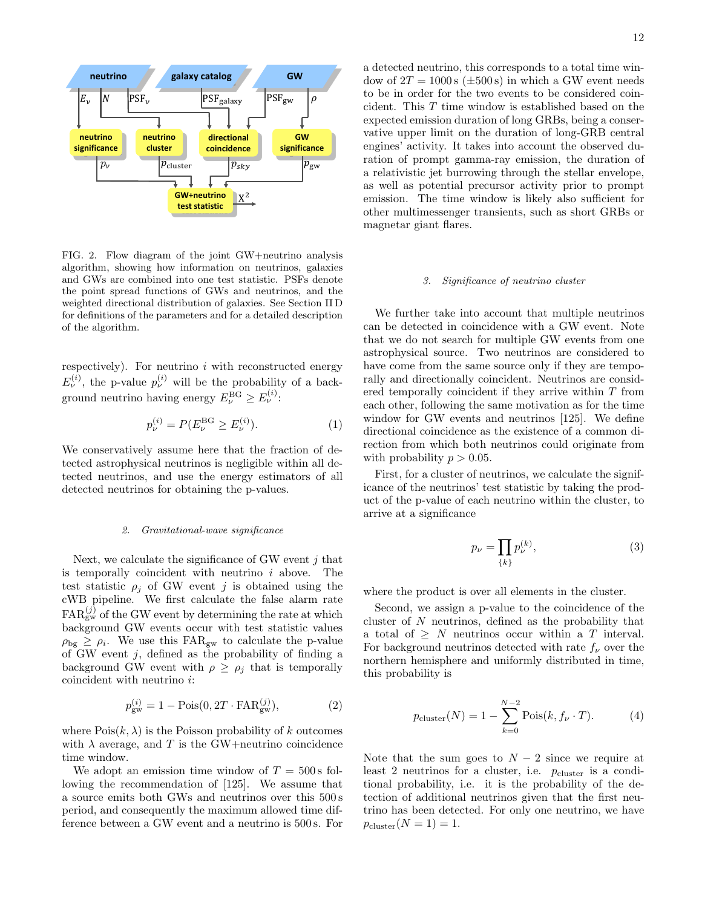

FIG. 2. Flow diagram of the joint GW+neutrino analysis algorithm, showing how information on neutrinos, galaxies and GWs are combined into one test statistic. PSFs denote the point spread functions of GWs and neutrinos, and the weighted directional distribution of galaxies. See Section II D for definitions of the parameters and for a detailed description of the algorithm.

respectively). For neutrino  $i$  with reconstructed energy  $E_{\nu}^{(i)}$ , the p-value  $p_{\nu}^{(i)}$  will be the probability of a background neutrino having energy  $E_{\nu}^{\text{BG}} \geq E_{\nu}^{(i)}$ :

$$
p_{\nu}^{(i)} = P(E_{\nu}^{\text{BG}} \ge E_{\nu}^{(i)}).
$$
 (1)

We conservatively assume here that the fraction of detected astrophysical neutrinos is negligible within all detected neutrinos, and use the energy estimators of all detected neutrinos for obtaining the p-values.

#### 2. Gravitational-wave significance

Next, we calculate the significance of GW event  $i$  that is temporally coincident with neutrino  $i$  above. The test statistic  $\rho_j$  of GW event j is obtained using the cWB pipeline. We first calculate the false alarm rate  $FAR_{gw}^{(j)}$  of the GW event by determining the rate at which background GW events occur with test statistic values  $\rho_{\text{bg}} \geq \rho_i$ . We use this FAR<sub>gw</sub> to calculate the p-value of GW event  $j$ , defined as the probability of finding a background GW event with  $\rho \geq \rho_j$  that is temporally coincident with neutrino i:

$$
p_{\rm gw}^{(i)} = 1 - \text{Pois}(0, 2T \cdot \text{FAR}_{\rm gw}^{(j)}),\tag{2}
$$

where  $Pois(k, \lambda)$  is the Poisson probability of k outcomes with  $\lambda$  average, and T is the GW+neutrino coincidence time window.

We adopt an emission time window of  $T = 500$  s following the recommendation of [125]. We assume that a source emits both GWs and neutrinos over this 500 s period, and consequently the maximum allowed time difference between a GW event and a neutrino is 500 s. For a detected neutrino, this corresponds to a total time window of  $2T = 1000 \text{ s } (\pm 500 \text{ s})$  in which a GW event needs to be in order for the two events to be considered coincident. This  $T$  time window is established based on the expected emission duration of long GRBs, being a conservative upper limit on the duration of long-GRB central engines' activity. It takes into account the observed duration of prompt gamma-ray emission, the duration of a relativistic jet burrowing through the stellar envelope, as well as potential precursor activity prior to prompt emission. The time window is likely also sufficient for other multimessenger transients, such as short GRBs or magnetar giant flares.

#### 3. Significance of neutrino cluster

We further take into account that multiple neutrinos can be detected in coincidence with a GW event. Note that we do not search for multiple GW events from one astrophysical source. Two neutrinos are considered to have come from the same source only if they are temporally and directionally coincident. Neutrinos are considered temporally coincident if they arrive within T from each other, following the same motivation as for the time window for GW events and neutrinos [125]. We define directional coincidence as the existence of a common direction from which both neutrinos could originate from with probability  $p > 0.05$ .

First, for a cluster of neutrinos, we calculate the significance of the neutrinos' test statistic by taking the product of the p-value of each neutrino within the cluster, to arrive at a significance

$$
p_{\nu} = \prod_{\{k\}} p_{\nu}^{(k)},\tag{3}
$$

where the product is over all elements in the cluster.

Second, we assign a p-value to the coincidence of the cluster of N neutrinos, defined as the probability that a total of  $\geq N$  neutrinos occur within a T interval. For background neutrinos detected with rate  $f_{\nu}$  over the northern hemisphere and uniformly distributed in time, this probability is

$$
p_{\text{cluster}}(N) = 1 - \sum_{k=0}^{N-2} \text{Pois}(k, f_{\nu} \cdot T).
$$
 (4)

Note that the sum goes to  $N-2$  since we require at least 2 neutrinos for a cluster, i.e.  $p_{\text{cluster}}$  is a conditional probability, i.e. it is the probability of the detection of additional neutrinos given that the first neutrino has been detected. For only one neutrino, we have  $p_{\text{cluster}}(N = 1) = 1.$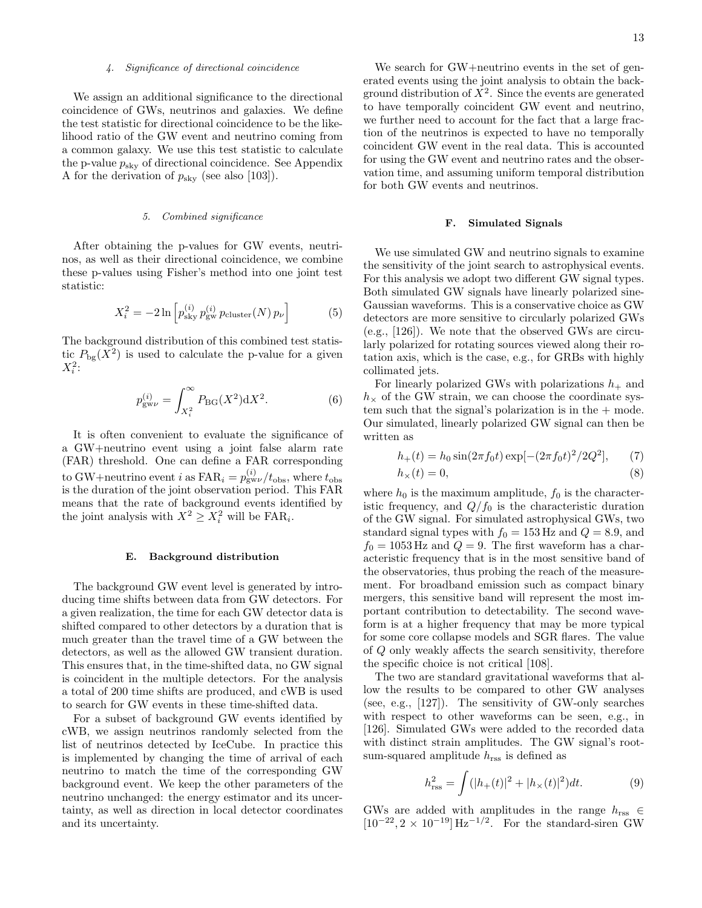#### 4. Significance of directional coincidence

We assign an additional significance to the directional coincidence of GWs, neutrinos and galaxies. We define the test statistic for directional coincidence to be the likelihood ratio of the GW event and neutrino coming from a common galaxy. We use this test statistic to calculate the p-value  $p_{\text{sky}}$  of directional coincidence. See Appendix A for the derivation of  $p_{\rm sky}$  (see also [103]).

#### 5. Combined significance

After obtaining the p-values for GW events, neutrinos, as well as their directional coincidence, we combine these p-values using Fisher's method into one joint test statistic:

$$
X_i^2 = -2\ln\left[p_{\rm sky}^{(i)}\, p_{\rm gw}^{(i)}\, p_{\rm cluster}(N)\, p_{\nu}\right] \tag{5}
$$

The background distribution of this combined test statistic  $P_{\text{bg}}(X^2)$  is used to calculate the p-value for a given  $X_i^2$ :

$$
p_{\text{gw}\nu}^{(i)} = \int_{X_i^2}^{\infty} P_{\text{BG}}(X^2) \, \mathrm{d}X^2. \tag{6}
$$

It is often convenient to evaluate the significance of a GW+neutrino event using a joint false alarm rate (FAR) threshold. One can define a FAR corresponding to GW+neutrino event *i* as  $\text{FAR}_i = p_{\text{gw}}^{(i)} / t_{\text{obs}}$ , where  $t_{\text{obs}}$ is the duration of the joint observation period. This FAR means that the rate of background events identified by the joint analysis with  $X^2 \ge X_i^2$  will be  $\text{FAR}_i$ .

#### E. Background distribution

The background GW event level is generated by introducing time shifts between data from GW detectors. For a given realization, the time for each GW detector data is shifted compared to other detectors by a duration that is much greater than the travel time of a GW between the detectors, as well as the allowed GW transient duration. This ensures that, in the time-shifted data, no GW signal is coincident in the multiple detectors. For the analysis a total of 200 time shifts are produced, and cWB is used to search for GW events in these time-shifted data.

For a subset of background GW events identified by cWB, we assign neutrinos randomly selected from the list of neutrinos detected by IceCube. In practice this is implemented by changing the time of arrival of each neutrino to match the time of the corresponding GW background event. We keep the other parameters of the neutrino unchanged: the energy estimator and its uncertainty, as well as direction in local detector coordinates and its uncertainty.

We search for GW+neutrino events in the set of generated events using the joint analysis to obtain the background distribution of  $X^2$ . Since the events are generated to have temporally coincident GW event and neutrino, we further need to account for the fact that a large fraction of the neutrinos is expected to have no temporally coincident GW event in the real data. This is accounted for using the GW event and neutrino rates and the observation time, and assuming uniform temporal distribution for both GW events and neutrinos.

#### F. Simulated Signals

We use simulated GW and neutrino signals to examine the sensitivity of the joint search to astrophysical events. For this analysis we adopt two different GW signal types. Both simulated GW signals have linearly polarized sine-Gaussian waveforms. This is a conservative choice as GW detectors are more sensitive to circularly polarized GWs (e.g., [126]). We note that the observed GWs are circularly polarized for rotating sources viewed along their rotation axis, which is the case, e.g., for GRBs with highly collimated jets.

For linearly polarized GWs with polarizations  $h_+$  and  $h<sub>\times</sub>$  of the GW strain, we can choose the coordinate system such that the signal's polarization is in the  $+$  mode. Our simulated, linearly polarized GW signal can then be written as

$$
h_{+}(t) = h_{0} \sin(2\pi f_{0}t) \exp[-(2\pi f_{0}t)^{2}/2Q^{2}], \qquad (7)
$$

$$
h_{\times}(t) = 0,\t\t(8)
$$

where  $h_0$  is the maximum amplitude,  $f_0$  is the characteristic frequency, and  $Q/f_0$  is the characteristic duration of the GW signal. For simulated astrophysical GWs, two standard signal types with  $f_0 = 153$  Hz and  $Q = 8.9$ , and  $f_0 = 1053$  Hz and  $Q = 9$ . The first waveform has a characteristic frequency that is in the most sensitive band of the observatories, thus probing the reach of the measurement. For broadband emission such as compact binary mergers, this sensitive band will represent the most important contribution to detectability. The second waveform is at a higher frequency that may be more typical for some core collapse models and SGR flares. The value of Q only weakly affects the search sensitivity, therefore the specific choice is not critical [108].

The two are standard gravitational waveforms that allow the results to be compared to other GW analyses (see, e.g., [127]). The sensitivity of GW-only searches with respect to other waveforms can be seen, e.g., in [126]. Simulated GWs were added to the recorded data with distinct strain amplitudes. The GW signal's rootsum-squared amplitude  $h_{\text{rss}}$  is defined as

$$
h_{\rm rss}^2 = \int (|h_+(t)|^2 + |h_\times(t)|^2) dt.
$$
 (9)

GWs are added with amplitudes in the range  $h_{\text{rss}} \in$  $[10^{-22}, 2 \times 10^{-19}]$  Hz<sup>-1/2</sup>. For the standard-siren GW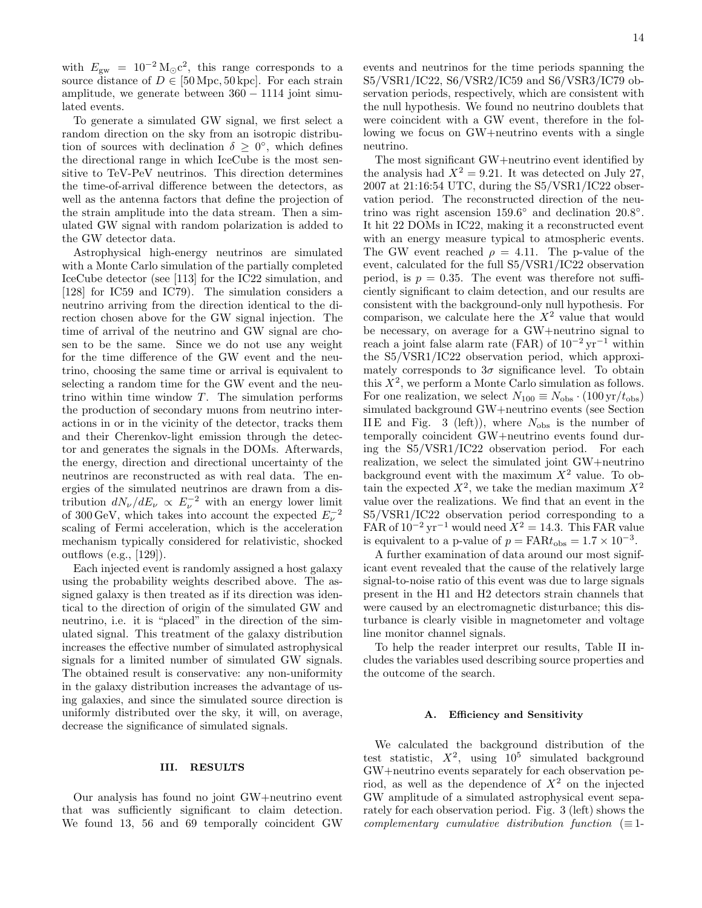with  $E_{\text{gw}} = 10^{-2} \text{M}_{\odot} \text{c}^2$ , this range corresponds to a source distance of  $D \in [50 \,\text{Mpc}, 50 \,\text{kpc}]$ . For each strain amplitude, we generate between  $360 - 1114$  joint simulated events.

To generate a simulated GW signal, we first select a random direction on the sky from an isotropic distribution of sources with declination  $\delta \geq 0^{\circ}$ , which defines the directional range in which IceCube is the most sensitive to TeV-PeV neutrinos. This direction determines the time-of-arrival difference between the detectors, as well as the antenna factors that define the projection of the strain amplitude into the data stream. Then a simulated GW signal with random polarization is added to the GW detector data.

Astrophysical high-energy neutrinos are simulated with a Monte Carlo simulation of the partially completed IceCube detector (see [113] for the IC22 simulation, and [128] for IC59 and IC79). The simulation considers a neutrino arriving from the direction identical to the direction chosen above for the GW signal injection. The time of arrival of the neutrino and GW signal are chosen to be the same. Since we do not use any weight for the time difference of the GW event and the neutrino, choosing the same time or arrival is equivalent to selecting a random time for the GW event and the neutrino within time window  $T$ . The simulation performs the production of secondary muons from neutrino interactions in or in the vicinity of the detector, tracks them and their Cherenkov-light emission through the detector and generates the signals in the DOMs. Afterwards, the energy, direction and directional uncertainty of the neutrinos are reconstructed as with real data. The energies of the simulated neutrinos are drawn from a distribution  $dN_{\nu}/dE_{\nu} \propto E_{\nu}^{-2}$  with an energy lower limit of 300 GeV, which takes into account the expected  $E_{\nu}^{-2}$ scaling of Fermi acceleration, which is the acceleration mechanism typically considered for relativistic, shocked outflows (e.g., [129]).

Each injected event is randomly assigned a host galaxy using the probability weights described above. The assigned galaxy is then treated as if its direction was identical to the direction of origin of the simulated GW and neutrino, i.e. it is "placed" in the direction of the simulated signal. This treatment of the galaxy distribution increases the effective number of simulated astrophysical signals for a limited number of simulated GW signals. The obtained result is conservative: any non-uniformity in the galaxy distribution increases the advantage of using galaxies, and since the simulated source direction is uniformly distributed over the sky, it will, on average, decrease the significance of simulated signals.

#### III. RESULTS

Our analysis has found no joint GW+neutrino event that was sufficiently significant to claim detection. We found 13, 56 and 69 temporally coincident GW events and neutrinos for the time periods spanning the S5/VSR1/IC22, S6/VSR2/IC59 and S6/VSR3/IC79 observation periods, respectively, which are consistent with the null hypothesis. We found no neutrino doublets that were coincident with a GW event, therefore in the following we focus on GW+neutrino events with a single neutrino.

The most significant GW+neutrino event identified by the analysis had  $X^2 = 9.21$ . It was detected on July 27, 2007 at 21:16:54 UTC, during the S5/VSR1/IC22 observation period. The reconstructed direction of the neutrino was right ascension  $159.6°$  and declination  $20.8°$ . It hit 22 DOMs in IC22, making it a reconstructed event with an energy measure typical to atmospheric events. The GW event reached  $\rho = 4.11$ . The p-value of the event, calculated for the full S5/VSR1/IC22 observation period, is  $p = 0.35$ . The event was therefore not sufficiently significant to claim detection, and our results are consistent with the background-only null hypothesis. For comparison, we calculate here the  $X^2$  value that would be necessary, on average for a GW+neutrino signal to reach a joint false alarm rate (FAR) of  $10^{-2} \text{ yr}^{-1}$  within the S5/VSR1/IC22 observation period, which approximately corresponds to  $3\sigma$  significance level. To obtain this  $X^2$ , we perform a Monte Carlo simulation as follows. For one realization, we select  $N_{100} \equiv N_{\text{obs}} \cdot (100 \,\text{yr}/t_{\text{obs}})$ simulated background GW+neutrino events (see Section IIE and Fig. 3 (left)), where  $N_{\text{obs}}$  is the number of temporally coincident GW+neutrino events found during the S5/VSR1/IC22 observation period. For each realization, we select the simulated joint GW+neutrino background event with the maximum  $X^2$  value. To obtain the expected  $X^2$ , we take the median maximum  $X^2$ value over the realizations. We find that an event in the S5/VSR1/IC22 observation period corresponding to a FAR of  $10^{-2}$  yr<sup>-1</sup> would need  $X^2 = 14.3$ . This FAR value is equivalent to a p-value of  $p = \text{FAR}t_{\text{obs}} = 1.7 \times 10^{-3}$ .

A further examination of data around our most significant event revealed that the cause of the relatively large signal-to-noise ratio of this event was due to large signals present in the H1 and H2 detectors strain channels that were caused by an electromagnetic disturbance; this disturbance is clearly visible in magnetometer and voltage line monitor channel signals.

To help the reader interpret our results, Table II includes the variables used describing source properties and the outcome of the search.

#### A. Efficiency and Sensitivity

We calculated the background distribution of the test statistic,  $X^2$ , using  $10^5$  simulated background GW+neutrino events separately for each observation period, as well as the dependence of  $X^2$  on the injected GW amplitude of a simulated astrophysical event separately for each observation period. Fig. 3 (left) shows the complementary cumulative distribution function  $(\equiv 1$ -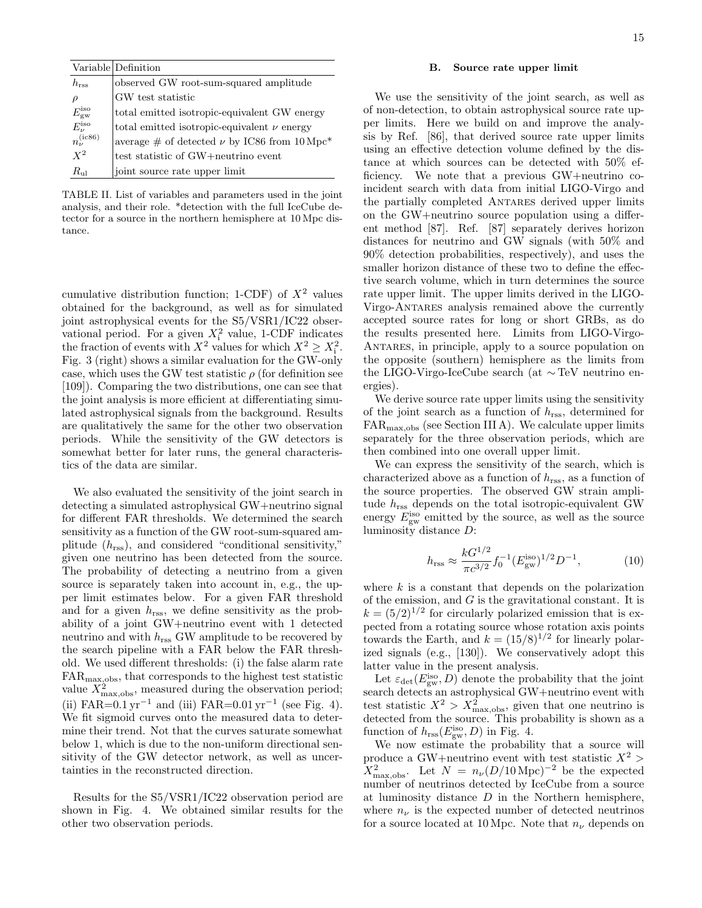|                        | Variable Definition                              |
|------------------------|--------------------------------------------------|
| $h_{\rm rss}$          | observed GW root-sum-squared amplitude           |
| $\rho$                 | GW test statistic                                |
| $E_{\rm gw}^{\rm iso}$ | total emitted isotropic-equivalent GW energy     |
| $E_{\nu}^{\rm iso}$    | total emitted isotropic-equivalent $\nu$ energy  |
| $n_\nu^{({\rm ic}86)}$ | average # of detected $\nu$ by IC86 from 10 Mpc* |
| $X^2$                  | test statistic of GW+neutrino event              |
| $R_{\rm nl}$           | joint source rate upper limit                    |

TABLE II. List of variables and parameters used in the joint analysis, and their role. \*detection with the full IceCube detector for a source in the northern hemisphere at 10 Mpc distance.

cumulative distribution function; 1-CDF) of  $X^2$  values obtained for the background, as well as for simulated joint astrophysical events for the S5/VSR1/IC22 observational period. For a given  $X_i^2$  value, 1-CDF indicates the fraction of events with  $X^2$  values for which  $X^2 \ge X_i^2$ . Fig. 3 (right) shows a similar evaluation for the GW-only case, which uses the GW test statistic  $\rho$  (for definition see [109]). Comparing the two distributions, one can see that the joint analysis is more efficient at differentiating simulated astrophysical signals from the background. Results are qualitatively the same for the other two observation periods. While the sensitivity of the GW detectors is somewhat better for later runs, the general characteristics of the data are similar.

We also evaluated the sensitivity of the joint search in detecting a simulated astrophysical GW+neutrino signal for different FAR thresholds. We determined the search sensitivity as a function of the GW root-sum-squared amplitude  $(h_{\text{rss}})$ , and considered "conditional sensitivity," given one neutrino has been detected from the source. The probability of detecting a neutrino from a given source is separately taken into account in, e.g., the upper limit estimates below. For a given FAR threshold and for a given  $h_{\text{rss}}$ , we define sensitivity as the probability of a joint GW+neutrino event with 1 detected neutrino and with  $h_{\text{rss}}$  GW amplitude to be recovered by the search pipeline with a FAR below the FAR threshold. We used different thresholds: (i) the false alarm rate FARmax,obs, that corresponds to the highest test statistic value  $X_{\text{max,obs}}^2$ , measured during the observation period; (ii) FAR= $0.1 \,\text{yr}^{-1}$  and (iii) FAR= $0.01 \,\text{yr}^{-1}$  (see Fig. 4). We fit sigmoid curves onto the measured data to determine their trend. Not that the curves saturate somewhat below 1, which is due to the non-uniform directional sensitivity of the GW detector network, as well as uncertainties in the reconstructed direction.

Results for the S5/VSR1/IC22 observation period are shown in Fig. 4. We obtained similar results for the other two observation periods.

#### B. Source rate upper limit

We use the sensitivity of the joint search, as well as of non-detection, to obtain astrophysical source rate upper limits. Here we build on and improve the analysis by Ref. [86], that derived source rate upper limits using an effective detection volume defined by the distance at which sources can be detected with 50% efficiency. We note that a previous GW+neutrino coincident search with data from initial LIGO-Virgo and the partially completed Antares derived upper limits on the GW+neutrino source population using a different method [87]. Ref. [87] separately derives horizon distances for neutrino and GW signals (with 50% and 90% detection probabilities, respectively), and uses the smaller horizon distance of these two to define the effective search volume, which in turn determines the source rate upper limit. The upper limits derived in the LIGO-Virgo-Antares analysis remained above the currently accepted source rates for long or short GRBs, as do the results presented here. Limits from LIGO-Virgo-Antares, in principle, apply to a source population on the opposite (southern) hemisphere as the limits from the LIGO-Virgo-IceCube search (at ∼ TeV neutrino energies).

We derive source rate upper limits using the sensitivity of the joint search as a function of  $h_{\text{rss}}$ , determined for  $FAR_{\text{max.obs}}$  (see Section III A). We calculate upper limits separately for the three observation periods, which are then combined into one overall upper limit.

We can express the sensitivity of the search, which is characterized above as a function of  $h_{\text{rss}}$ , as a function of the source properties. The observed GW strain amplitude  $h_{\text{rss}}$  depends on the total isotropic-equivalent GW energy  $E_{\text{gw}}^{\text{iso}}$  emitted by the source, as well as the source luminosity distance D:

$$
h_{\rm rss} \approx \frac{kG^{1/2}}{\pi c^{3/2}} f_0^{-1} (E_{\rm gw}^{\rm iso})^{1/2} D^{-1},\tag{10}
$$

where  $k$  is a constant that depends on the polarization of the emission, and  $G$  is the gravitational constant. It is  $k = (5/2)^{1/2}$  for circularly polarized emission that is expected from a rotating source whose rotation axis points towards the Earth, and  $k = (15/8)^{1/2}$  for linearly polarized signals (e.g., [130]). We conservatively adopt this latter value in the present analysis.

Let  $\varepsilon_{\rm det}(E_{\rm gw}^{\rm iso},D)$  denote the probability that the joint search detects an astrophysical GW+neutrino event with test statistic  $X^2 > X^2_{\text{max,obs}}$ , given that one neutrino is detected from the source. This probability is shown as a function of  $h_{\text{rss}}(E_{\text{gw}}^{\text{iso}}, D)$  in Fig. 4.

We now estimate the probability that a source will produce a GW+neutrino event with test statistic  $X^2$  $X_{\text{max,obs}}^2$ . Let  $N = n_{\nu} (D/10 \,\text{Mpc})^{-2}$  be the expected number of neutrinos detected by IceCube from a source at luminosity distance  $D$  in the Northern hemisphere, where  $n_{\nu}$  is the expected number of detected neutrinos for a source located at 10 Mpc. Note that  $n_{\nu}$  depends on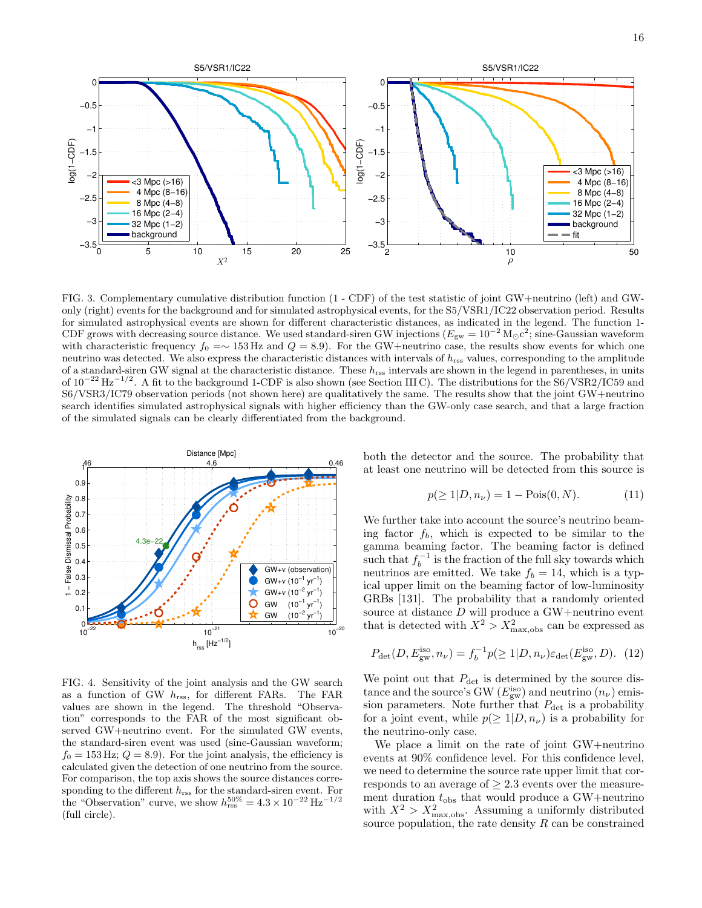

FIG. 3. Complementary cumulative distribution function (1 - CDF) of the test statistic of joint GW+neutrino (left) and GWonly (right) events for the background and for simulated astrophysical events, for the S5/VSR1/IC22 observation period. Results for simulated astrophysical events are shown for different characteristic distances, as indicated in the legend. The function 1- CDF grows with decreasing source distance. We used standard-siren GW injections ( $E_{\rm gw} = 10^{-2} \,\rm M_{\odot}c^2$ ; sine-Gaussian waveform with characteristic frequency  $f_0 = \sim 153 \text{ Hz}$  and  $Q = 8.9$ ). For the GW+neutrino case, the results show events for which one neutrino was detected. We also express the characteristic distances with intervals of  $h_{\text{rss}}$  values, corresponding to the amplitude of a standard-siren GW signal at the characteristic distance. These  $h_{\text{rss}}$  intervals are shown in the legend in parentheses, in units of  $10^{-22}$  Hz<sup>-1/2</sup>. A fit to the background 1-CDF is also shown (see Section III C). The distributions for the S6/VSR2/IC59 and S6/VSR3/IC79 observation periods (not shown here) are qualitatively the same. The results show that the joint GW+neutrino search identifies simulated astrophysical signals with higher efficiency than the GW-only case search, and that a large fraction of the simulated signals can be clearly differentiated from the background.



FIG. 4. Sensitivity of the joint analysis and the GW search as a function of GW  $h_{\text{rss}}$ , for different FARs. The FAR values are shown in the legend. The threshold "Observation" corresponds to the FAR of the most significant observed GW+neutrino event. For the simulated GW events, the standard-siren event was used (sine-Gaussian waveform;  $f_0 = 153 \,\text{Hz}$ ;  $Q = 8.9$ ). For the joint analysis, the efficiency is calculated given the detection of one neutrino from the source. For comparison, the top axis shows the source distances corresponding to the different  $h_{\text{rss}}$  for the standard-siren event. For the "Observation" curve, we show  $h_{\text{rss}}^{50\%} = 4.3 \times 10^{-22} \,\text{Hz}^{-1/2}$ (full circle).

both the detector and the source. The probability that at least one neutrino will be detected from this source is

$$
p(\ge 1|D, n_{\nu}) = 1 - \text{Pois}(0, N). \tag{11}
$$

We further take into account the source's neutrino beaming factor  $f<sub>b</sub>$ , which is expected to be similar to the gamma beaming factor. The beaming factor is defined such that  $f_b^{-1}$  is the fraction of the full sky towards which neutrinos are emitted. We take  $f_b = 14$ , which is a typical upper limit on the beaming factor of low-luminosity GRBs [131]. The probability that a randomly oriented source at distance  $D$  will produce a GW+neutrino event that is detected with  $X^2 > X^2_{\text{max,obs}}$  can be expressed as

$$
P_{\det}(D, E_{\text{gw}}^{\text{iso}}, n_{\nu}) = f_b^{-1} p(\ge 1 | D, n_{\nu}) \varepsilon_{\det}(E_{\text{gw}}^{\text{iso}}, D). \tag{12}
$$

We point out that  $P_{\text{det}}$  is determined by the source distance and the source's GW  $(E_{\text{gw}}^{\text{iso}})$  and neutrino  $(n_{\nu})$  emission parameters. Note further that  $P_{\text{det}}$  is a probability for a joint event, while  $p(\geq 1|D, n_{\nu})$  is a probability for the neutrino-only case.

We place a limit on the rate of joint GW+neutrino events at 90% confidence level. For this confidence level, we need to determine the source rate upper limit that corresponds to an average of  $\geq 2.3$  events over the measurement duration  $t_{obs}$  that would produce a GW+neutrino with  $X^2 > X^2_{\text{max,obs}}$ . Assuming a uniformly distributed source population, the rate density  $R$  can be constrained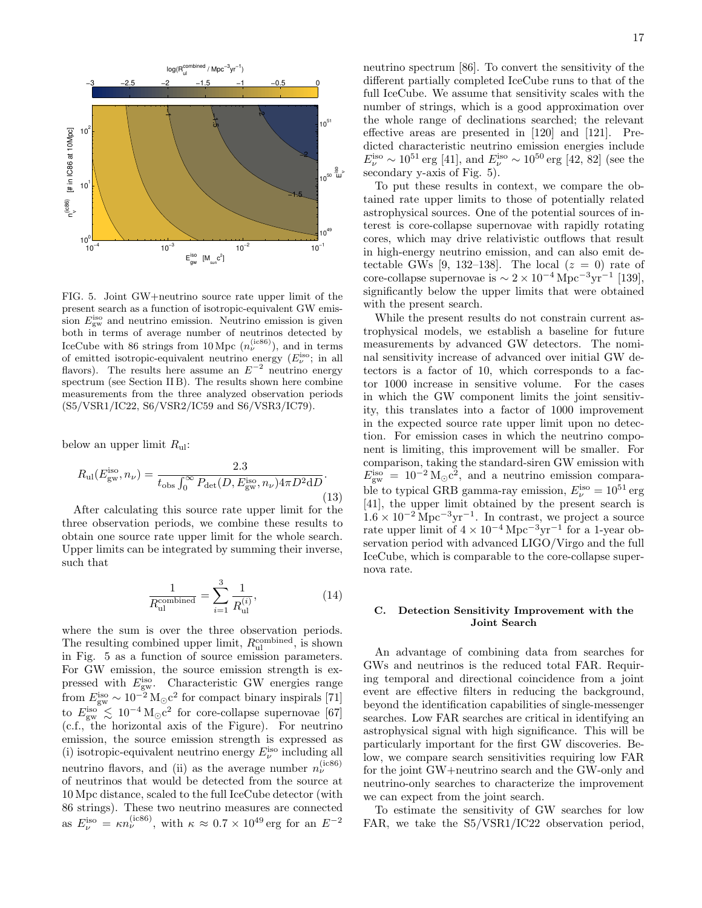

FIG. 5. Joint GW+neutrino source rate upper limit of the present search as a function of isotropic-equivalent GW emission  $E_{\text{gw}}^{\text{iso}}$  and neutrino emission. Neutrino emission is given both in terms of average number of neutrinos detected by IceCube with 86 strings from 10 Mpc  $(n_{\nu}^{(\text{ice86})})$ , and in terms of emitted isotropic-equivalent neutrino energy  $(E_{\nu}^{\text{iso}};$  in all flavors). The results here assume an  $E^{-2}$  neutrino energy spectrum (see Section II B). The results shown here combine measurements from the three analyzed observation periods (S5/VSR1/IC22, S6/VSR2/IC59 and S6/VSR3/IC79).

below an upper limit  $R_{ul}$ :

$$
R_{\rm ul}(E_{\rm gw}^{\rm iso}, n_{\nu}) = \frac{2.3}{t_{\rm obs} \int_0^\infty P_{\rm det}(D, E_{\rm gw}^{\rm iso}, n_{\nu}) 4\pi D^2 dD}.
$$
\n(13)

After calculating this source rate upper limit for the three observation periods, we combine these results to obtain one source rate upper limit for the whole search. Upper limits can be integrated by summing their inverse, such that

$$
\frac{1}{R_{\text{ul}}^{\text{combined}}} = \sum_{i=1}^{3} \frac{1}{R_{\text{ul}}^{(i)}},\tag{14}
$$

where the sum is over the three observation periods. The resulting combined upper limit,  $R_{\text{ul}}^{\text{combined}}$ , is shown in Fig. 5 as a function of source emission parameters. For GW emission, the source emission strength is expressed with  $E_{\text{gw}}^{\text{iso}}$ . Characteristic GW energies range from  $E_{\text{gw}}^{\text{iso}} \sim 10^{-2} \,\text{M}_{\odot} \text{c}^2$  for compact binary inspirals [71] to  $E_{\text{gw}}^{\text{iso}} \lesssim 10^{-4} \text{ M}_{\odot} \text{c}^2$  for core-collapse supernovae [67] (c.f., the horizontal axis of the Figure). For neutrino emission, the source emission strength is expressed as (i) isotropic-equivalent neutrino energy  $E_\nu^{\rm iso}$  including all neutrino flavors, and (ii) as the average number  $n_{\nu}^{(\text{ice86})}$ of neutrinos that would be detected from the source at 10 Mpc distance, scaled to the full IceCube detector (with 86 strings). These two neutrino measures are connected as  $E_{\nu}^{\text{iso}} = \kappa n_{\nu}^{\text{(ic86)}}$ , with  $\kappa \approx 0.7 \times 10^{49} \text{ erg}$  for an  $E^{-2}$ 

neutrino spectrum [86]. To convert the sensitivity of the different partially completed IceCube runs to that of the full IceCube. We assume that sensitivity scales with the number of strings, which is a good approximation over the whole range of declinations searched; the relevant effective areas are presented in [120] and [121]. Predicted characteristic neutrino emission energies include  $E_{\nu}^{\text{iso}} \sim 10^{51} \text{ erg}$  [41], and  $E_{\nu}^{\text{iso}} \sim 10^{50} \text{ erg}$  [42, 82] (see the secondary y-axis of Fig. 5).

To put these results in context, we compare the obtained rate upper limits to those of potentially related astrophysical sources. One of the potential sources of interest is core-collapse supernovae with rapidly rotating cores, which may drive relativistic outflows that result in high-energy neutrino emission, and can also emit detectable GWs [9, 132–138]. The local  $(z = 0)$  rate of core-collapse supernovae is  $\sim 2 \times 10^{-4}$  Mpc<sup>-3</sup>yr<sup>-1</sup> [139], significantly below the upper limits that were obtained with the present search.

While the present results do not constrain current astrophysical models, we establish a baseline for future measurements by advanced GW detectors. The nominal sensitivity increase of advanced over initial GW detectors is a factor of 10, which corresponds to a factor 1000 increase in sensitive volume. For the cases in which the GW component limits the joint sensitivity, this translates into a factor of 1000 improvement in the expected source rate upper limit upon no detection. For emission cases in which the neutrino component is limiting, this improvement will be smaller. For comparison, taking the standard-siren GW emission with  $E_{\text{gw}}^{\text{iso}} = 10^{-2} \text{M}_{\odot} \text{c}^2$ , and a neutrino emission comparable to typical GRB gamma-ray emission,  $E_{\nu}^{\text{iso}} = 10^{51} \text{ erg}$ [41], the upper limit obtained by the present search is  $1.6 \times 10^{-2}$  Mpc<sup>-3</sup>yr<sup>-1</sup>. In contrast, we project a source rate upper limit of  $4 \times 10^{-4}$  Mpc<sup>-3</sup>yr<sup>-1</sup> for a 1-year observation period with advanced LIGO/Virgo and the full IceCube, which is comparable to the core-collapse supernova rate.

#### C. Detection Sensitivity Improvement with the Joint Search

An advantage of combining data from searches for GWs and neutrinos is the reduced total FAR. Requiring temporal and directional coincidence from a joint event are effective filters in reducing the background, beyond the identification capabilities of single-messenger searches. Low FAR searches are critical in identifying an astrophysical signal with high significance. This will be particularly important for the first GW discoveries. Below, we compare search sensitivities requiring low FAR for the joint GW+neutrino search and the GW-only and neutrino-only searches to characterize the improvement we can expect from the joint search.

To estimate the sensitivity of GW searches for low FAR, we take the S5/VSR1/IC22 observation period,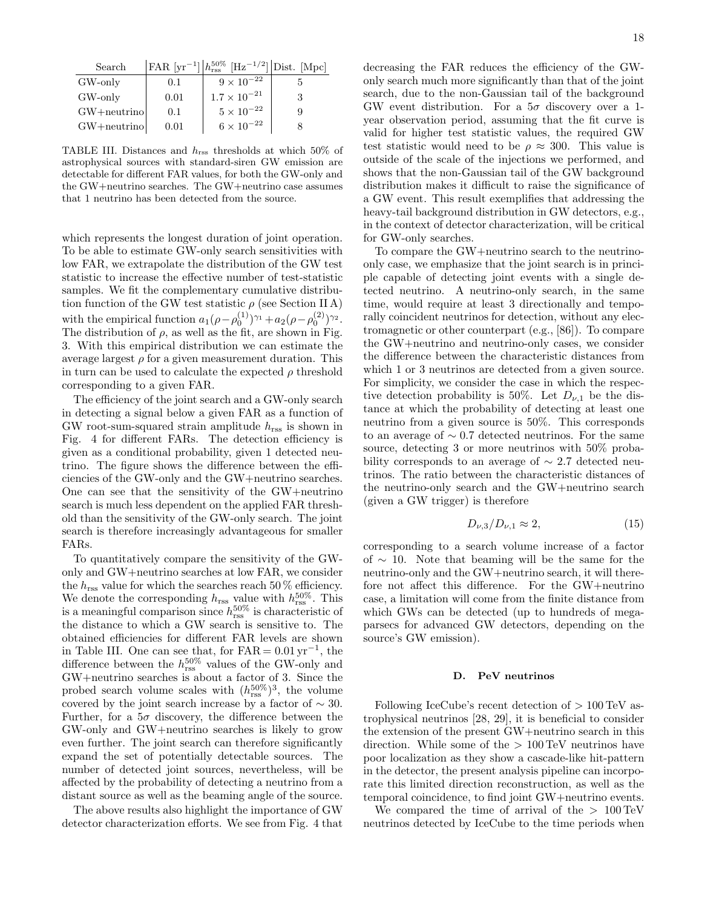| Search          |      | FAR $[\text{yr}^{-1}]$ $h_{\text{rss}}^{50\%}$ [Hz <sup>-1/2</sup> ] Dist. [Mpc] |  |
|-----------------|------|----------------------------------------------------------------------------------|--|
| GW-only         | 0.1  | $9 \times 10^{-22}$                                                              |  |
| GW-only         | 0.01 | $1.7 \times 10^{-21}$                                                            |  |
| $GW + neutrino$ | 0.1  | $5 \times 10^{-22}$                                                              |  |
| $GW + neutrino$ | 0.01 | $6 \times 10^{-22}$                                                              |  |

TABLE III. Distances and hrss thresholds at which 50% of astrophysical sources with standard-siren GW emission are detectable for different FAR values, for both the GW-only and the GW+neutrino searches. The GW+neutrino case assumes that 1 neutrino has been detected from the source.

which represents the longest duration of joint operation. To be able to estimate GW-only search sensitivities with low FAR, we extrapolate the distribution of the GW test statistic to increase the effective number of test-statistic samples. We fit the complementary cumulative distribution function of the GW test statistic  $\rho$  (see Section II A) with the empirical function  $a_1(\rho - \rho_0^{(1)})^{\gamma_1} + a_2(\rho - \rho_0^{(2)})^{\gamma_2}$ . The distribution of  $\rho$ , as well as the fit, are shown in Fig. 3. With this empirical distribution we can estimate the average largest  $\rho$  for a given measurement duration. This in turn can be used to calculate the expected  $\rho$  threshold corresponding to a given FAR.

The efficiency of the joint search and a GW-only search in detecting a signal below a given FAR as a function of GW root-sum-squared strain amplitude  $h_{\text{rss}}$  is shown in Fig. 4 for different FARs. The detection efficiency is given as a conditional probability, given 1 detected neutrino. The figure shows the difference between the efficiencies of the GW-only and the GW+neutrino searches. One can see that the sensitivity of the GW+neutrino search is much less dependent on the applied FAR threshold than the sensitivity of the GW-only search. The joint search is therefore increasingly advantageous for smaller FARs.

To quantitatively compare the sensitivity of the GWonly and GW+neutrino searches at low FAR, we consider the  $h_{\rm rss}$  value for which the searches reach 50  $\!\%$  efficiency. We denote the corresponding  $h_{\text{rss}}$  value with  $h_{\text{rss}}^{50\%$ . This is a meaningful comparison since  $h_{\text{rss}}^{50\%}$  is characteristic of the distance to which a GW search is sensitive to. The obtained efficiencies for different FAR levels are shown in Table III. One can see that, for  $FAR = 0.01 \,\text{yr}^{-1}$ , the difference between the  $h_{\text{rss}}^{50\%}$  values of the GW-only and GW+neutrino searches is about a factor of 3. Since the probed search volume scales with  $(h_{\text{rss}}^{50\%})^3$ , the volume covered by the joint search increase by a factor of  $\sim 30$ . Further, for a  $5\sigma$  discovery, the difference between the GW-only and GW+neutrino searches is likely to grow even further. The joint search can therefore significantly expand the set of potentially detectable sources. The number of detected joint sources, nevertheless, will be affected by the probability of detecting a neutrino from a distant source as well as the beaming angle of the source.

The above results also highlight the importance of GW detector characterization efforts. We see from Fig. 4 that decreasing the FAR reduces the efficiency of the GWonly search much more significantly than that of the joint search, due to the non-Gaussian tail of the background GW event distribution. For a  $5\sigma$  discovery over a 1year observation period, assuming that the fit curve is valid for higher test statistic values, the required GW test statistic would need to be  $\rho \approx 300$ . This value is outside of the scale of the injections we performed, and shows that the non-Gaussian tail of the GW background distribution makes it difficult to raise the significance of a GW event. This result exemplifies that addressing the heavy-tail background distribution in GW detectors, e.g., in the context of detector characterization, will be critical for GW-only searches.

To compare the GW+neutrino search to the neutrinoonly case, we emphasize that the joint search is in principle capable of detecting joint events with a single detected neutrino. A neutrino-only search, in the same time, would require at least 3 directionally and temporally coincident neutrinos for detection, without any electromagnetic or other counterpart (e.g., [86]). To compare the GW+neutrino and neutrino-only cases, we consider the difference between the characteristic distances from which 1 or 3 neutrinos are detected from a given source. For simplicity, we consider the case in which the respective detection probability is 50%. Let  $D_{\nu,1}$  be the distance at which the probability of detecting at least one neutrino from a given source is 50%. This corresponds to an average of ∼ 0.7 detected neutrinos. For the same source, detecting 3 or more neutrinos with 50% probability corresponds to an average of ∼ 2.7 detected neutrinos. The ratio between the characteristic distances of the neutrino-only search and the GW+neutrino search (given a GW trigger) is therefore

$$
D_{\nu,3}/D_{\nu,1} \approx 2,\tag{15}
$$

corresponding to a search volume increase of a factor of ∼ 10. Note that beaming will be the same for the neutrino-only and the GW+neutrino search, it will therefore not affect this difference. For the GW+neutrino case, a limitation will come from the finite distance from which GWs can be detected (up to hundreds of megaparsecs for advanced GW detectors, depending on the source's GW emission).

#### D. PeV neutrinos

Following IceCube's recent detection of  $> 100 \,\mathrm{TeV}$  astrophysical neutrinos [28, 29], it is beneficial to consider the extension of the present GW+neutrino search in this direction. While some of the  $> 100 \,\mathrm{TeV}$  neutrinos have poor localization as they show a cascade-like hit-pattern in the detector, the present analysis pipeline can incorporate this limited direction reconstruction, as well as the temporal coincidence, to find joint GW+neutrino events.

We compared the time of arrival of the  $> 100 \,\mathrm{TeV}$ neutrinos detected by IceCube to the time periods when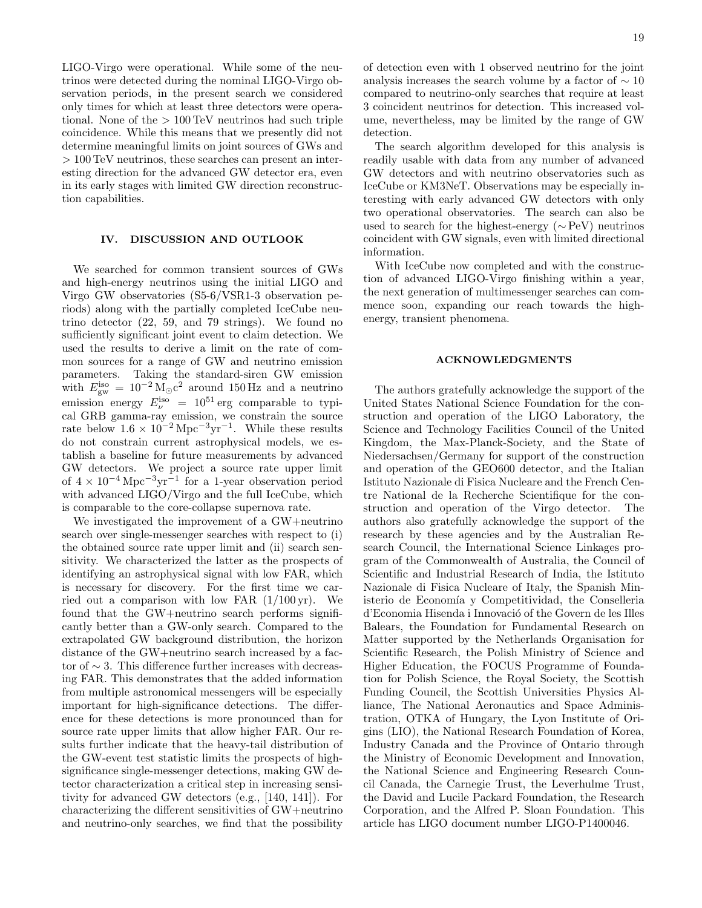LIGO-Virgo were operational. While some of the neutrinos were detected during the nominal LIGO-Virgo observation periods, in the present search we considered only times for which at least three detectors were operational. None of the > 100 TeV neutrinos had such triple coincidence. While this means that we presently did not determine meaningful limits on joint sources of GWs and > 100 TeV neutrinos, these searches can present an interesting direction for the advanced GW detector era, even in its early stages with limited GW direction reconstruction capabilities.

## IV. DISCUSSION AND OUTLOOK

We searched for common transient sources of GWs and high-energy neutrinos using the initial LIGO and Virgo GW observatories (S5-6/VSR1-3 observation periods) along with the partially completed IceCube neutrino detector (22, 59, and 79 strings). We found no sufficiently significant joint event to claim detection. We used the results to derive a limit on the rate of common sources for a range of GW and neutrino emission parameters. Taking the standard-siren GW emission with  $E_{\text{gw}}^{\text{iso}} = 10^{-2} \,\text{M}_{\odot} \text{c}^2$  around 150 Hz and a neutrino emission energy  $E_{\nu}^{iso} = 10^{51} \text{ erg}$  comparable to typical GRB gamma-ray emission, we constrain the source rate below  $1.6 \times 10^{-2} \,\mathrm{Mpc}^{-3} \mathrm{yr}^{-1}$ . While these results do not constrain current astrophysical models, we establish a baseline for future measurements by advanced GW detectors. We project a source rate upper limit of  $4 \times 10^{-4}$  Mpc<sup>-3</sup>yr<sup>-1</sup> for a 1-year observation period with advanced LIGO/Virgo and the full IceCube, which is comparable to the core-collapse supernova rate.

We investigated the improvement of a GW+neutrino search over single-messenger searches with respect to (i) the obtained source rate upper limit and (ii) search sensitivity. We characterized the latter as the prospects of identifying an astrophysical signal with low FAR, which is necessary for discovery. For the first time we carried out a comparison with low FAR  $(1/100 \,\text{yr})$ . We found that the GW+neutrino search performs significantly better than a GW-only search. Compared to the extrapolated GW background distribution, the horizon distance of the GW+neutrino search increased by a factor of ∼ 3. This difference further increases with decreasing FAR. This demonstrates that the added information from multiple astronomical messengers will be especially important for high-significance detections. The difference for these detections is more pronounced than for source rate upper limits that allow higher FAR. Our results further indicate that the heavy-tail distribution of the GW-event test statistic limits the prospects of highsignificance single-messenger detections, making GW detector characterization a critical step in increasing sensitivity for advanced GW detectors (e.g., [140, 141]). For characterizing the different sensitivities of GW+neutrino and neutrino-only searches, we find that the possibility

of detection even with 1 observed neutrino for the joint analysis increases the search volume by a factor of  $\sim 10$ compared to neutrino-only searches that require at least 3 coincident neutrinos for detection. This increased volume, nevertheless, may be limited by the range of GW detection.

The search algorithm developed for this analysis is readily usable with data from any number of advanced GW detectors and with neutrino observatories such as IceCube or KM3NeT. Observations may be especially interesting with early advanced GW detectors with only two operational observatories. The search can also be used to search for the highest-energy (∼ PeV) neutrinos coincident with GW signals, even with limited directional information.

With IceCube now completed and with the construction of advanced LIGO-Virgo finishing within a year, the next generation of multimessenger searches can commence soon, expanding our reach towards the highenergy, transient phenomena.

#### ACKNOWLEDGMENTS

The authors gratefully acknowledge the support of the United States National Science Foundation for the construction and operation of the LIGO Laboratory, the Science and Technology Facilities Council of the United Kingdom, the Max-Planck-Society, and the State of Niedersachsen/Germany for support of the construction and operation of the GEO600 detector, and the Italian Istituto Nazionale di Fisica Nucleare and the French Centre National de la Recherche Scientifique for the construction and operation of the Virgo detector. The authors also gratefully acknowledge the support of the research by these agencies and by the Australian Research Council, the International Science Linkages program of the Commonwealth of Australia, the Council of Scientific and Industrial Research of India, the Istituto Nazionale di Fisica Nucleare of Italy, the Spanish Ministerio de Economía y Competitividad, the Conselleria d'Economia Hisenda i Innovació of the Govern de les Illes Balears, the Foundation for Fundamental Research on Matter supported by the Netherlands Organisation for Scientific Research, the Polish Ministry of Science and Higher Education, the FOCUS Programme of Foundation for Polish Science, the Royal Society, the Scottish Funding Council, the Scottish Universities Physics Alliance, The National Aeronautics and Space Administration, OTKA of Hungary, the Lyon Institute of Origins (LIO), the National Research Foundation of Korea, Industry Canada and the Province of Ontario through the Ministry of Economic Development and Innovation, the National Science and Engineering Research Council Canada, the Carnegie Trust, the Leverhulme Trust, the David and Lucile Packard Foundation, the Research Corporation, and the Alfred P. Sloan Foundation. This article has LIGO document number LIGO-P1400046.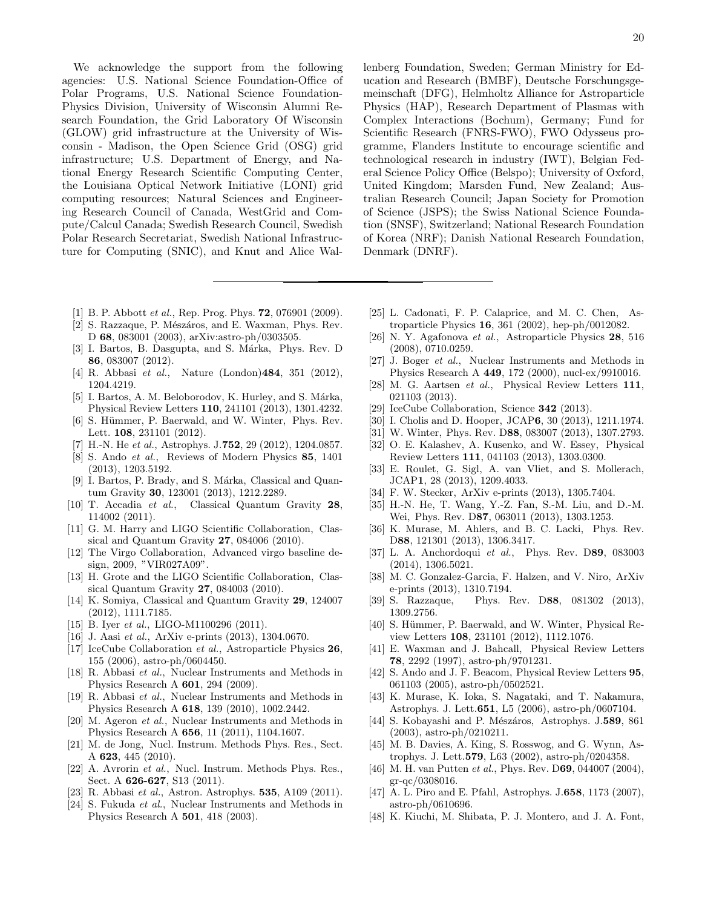We acknowledge the support from the following agencies: U.S. National Science Foundation-Office of Polar Programs, U.S. National Science Foundation-Physics Division, University of Wisconsin Alumni Research Foundation, the Grid Laboratory Of Wisconsin (GLOW) grid infrastructure at the University of Wisconsin - Madison, the Open Science Grid (OSG) grid infrastructure; U.S. Department of Energy, and National Energy Research Scientific Computing Center, the Louisiana Optical Network Initiative (LONI) grid computing resources; Natural Sciences and Engineering Research Council of Canada, WestGrid and Compute/Calcul Canada; Swedish Research Council, Swedish Polar Research Secretariat, Swedish National Infrastructure for Computing (SNIC), and Knut and Alice Wal-

- [1] B. P. Abbott et al., Rep. Prog. Phys. **72**, 076901 (2009).
- [2] S. Razzaque, P. Mészáros, and E. Waxman, Phys. Rev. D 68, 083001 (2003), arXiv:astro-ph/0303505.
- [3] I. Bartos, B. Dasgupta, and S. Márka, Phys. Rev. D 86, 083007 (2012).
- [4] R. Abbasi et al., Nature (London)484, 351 (2012), 1204.4219.
- [5] I. Bartos, A. M. Beloborodov, K. Hurley, and S. Márka, Physical Review Letters 110, 241101 (2013), 1301.4232.
- [6] S. Hümmer, P. Baerwald, and W. Winter, Phys. Rev. Lett. 108, 231101 (2012).
- [7] H.-N. He et al., Astrophys. J.752, 29 (2012), 1204.0857.
- [8] S. Ando et al., Reviews of Modern Physics 85, 1401 (2013), 1203.5192.
- [9] I. Bartos, P. Brady, and S. Márka, Classical and Quantum Gravity 30, 123001 (2013), 1212.2289.
- [10] T. Accadia et al., Classical Quantum Gravity 28, 114002 (2011).
- [11] G. M. Harry and LIGO Scientific Collaboration, Classical and Quantum Gravity 27, 084006 (2010).
- [12] The Virgo Collaboration, Advanced virgo baseline design, 2009, "VIR027A09".
- [13] H. Grote and the LIGO Scientific Collaboration, Classical Quantum Gravity 27, 084003 (2010).
- [14] K. Somiya, Classical and Quantum Gravity 29, 124007 (2012), 1111.7185.
- [15] B. Iyer et al., LIGO-M1100296 (2011).
- [16] J. Aasi et al., ArXiv e-prints (2013), 1304.0670.
- [17] IceCube Collaboration et al., Astroparticle Physics 26, 155 (2006), astro-ph/0604450.
- [18] R. Abbasi et al., Nuclear Instruments and Methods in Physics Research A 601, 294 (2009).
- [19] R. Abbasi et al., Nuclear Instruments and Methods in Physics Research A 618, 139 (2010), 1002.2442.
- [20] M. Ageron et al., Nuclear Instruments and Methods in Physics Research A 656, 11 (2011), 1104.1607.
- [21] M. de Jong, Nucl. Instrum. Methods Phys. Res., Sect. A 623, 445 (2010).
- [22] A. Avrorin et al., Nucl. Instrum. Methods Phys. Res., Sect. A 626-627, S13 (2011).
- [23] R. Abbasi et al., Astron. Astrophys. **535**, A109 (2011).
- [24] S. Fukuda et al., Nuclear Instruments and Methods in Physics Research A 501, 418 (2003).

lenberg Foundation, Sweden; German Ministry for Education and Research (BMBF), Deutsche Forschungsgemeinschaft (DFG), Helmholtz Alliance for Astroparticle Physics (HAP), Research Department of Plasmas with Complex Interactions (Bochum), Germany; Fund for Scientific Research (FNRS-FWO), FWO Odysseus programme, Flanders Institute to encourage scientific and technological research in industry (IWT), Belgian Federal Science Policy Office (Belspo); University of Oxford, United Kingdom; Marsden Fund, New Zealand; Australian Research Council; Japan Society for Promotion of Science (JSPS); the Swiss National Science Foundation (SNSF), Switzerland; National Research Foundation of Korea (NRF); Danish National Research Foundation, Denmark (DNRF).

- [25] L. Cadonati, F. P. Calaprice, and M. C. Chen, Astroparticle Physics 16, 361 (2002), hep-ph/0012082.
- [26] N. Y. Agafonova et al., Astroparticle Physics 28, 516 (2008), 0710.0259.
- [27] J. Boger et al., Nuclear Instruments and Methods in Physics Research A 449, 172 (2000), nucl-ex/9910016.
- [28] M. G. Aartsen et al., Physical Review Letters 111, 021103 (2013).
- [29] IceCube Collaboration, Science 342 (2013).
- [30] I. Cholis and D. Hooper, JCAP6, 30 (2013), 1211.1974.
- [31] W. Winter, Phys. Rev. D88, 083007 (2013), 1307.2793. [32] O. E. Kalashev, A. Kusenko, and W. Essey, Physical
- Review Letters 111, 041103 (2013), 1303.0300. [33] E. Roulet, G. Sigl, A. van Vliet, and S. Mollerach,
- JCAP1, 28 (2013), 1209.4033.
- [34] F. W. Stecker, ArXiv e-prints (2013), 1305.7404.
- [35] H.-N. He, T. Wang, Y.-Z. Fan, S.-M. Liu, and D.-M. Wei, Phys. Rev. D87, 063011 (2013), 1303.1253.
- [36] K. Murase, M. Ahlers, and B. C. Lacki, Phys. Rev. D88, 121301 (2013), 1306.3417.
- [37] L. A. Anchordoqui et al., Phys. Rev. D89, 083003 (2014), 1306.5021.
- [38] M. C. Gonzalez-Garcia, F. Halzen, and V. Niro, ArXiv e-prints (2013), 1310.7194.
- [39] S. Razzaque, Phys. Rev. D88, 081302 (2013), 1309.2756.
- [40] S. Hümmer, P. Baerwald, and W. Winter, Physical Review Letters 108, 231101 (2012), 1112.1076.
- [41] E. Waxman and J. Bahcall, Physical Review Letters 78, 2292 (1997), astro-ph/9701231.
- [42] S. Ando and J. F. Beacom, Physical Review Letters 95, 061103 (2005), astro-ph/0502521.
- [43] K. Murase, K. Ioka, S. Nagataki, and T. Nakamura, Astrophys. J. Lett.651, L5 (2006), astro-ph/0607104.
- [44] S. Kobayashi and P. Mészáros, Astrophys. J.589, 861 (2003), astro-ph/0210211.
- [45] M. B. Davies, A. King, S. Rosswog, and G. Wynn, Astrophys. J. Lett.579, L63 (2002), astro-ph/0204358.
- [46] M. H. van Putten et al., Phys. Rev. D69, 044007 (2004), gr-qc/0308016.
- [47] A. L. Piro and E. Pfahl, Astrophys. J. 658, 1173 (2007), astro-ph/0610696.
- [48] K. Kiuchi, M. Shibata, P. J. Montero, and J. A. Font,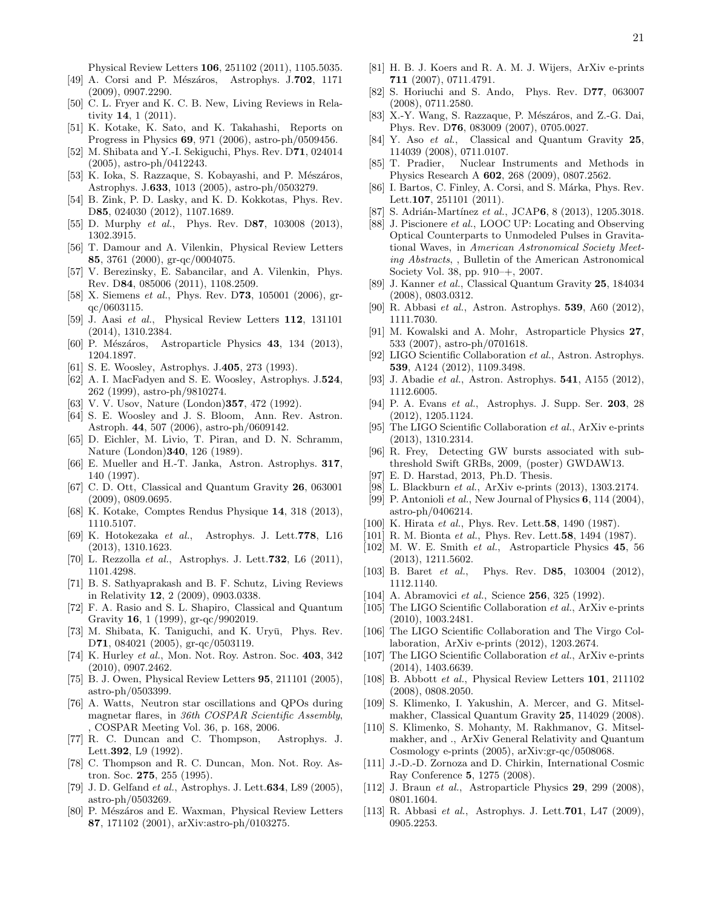Physical Review Letters 106, 251102 (2011), 1105.5035.

- [49] A. Corsi and P. Mészáros, Astrophys. J.702, 1171 (2009), 0907.2290.
- [50] C. L. Fryer and K. C. B. New, Living Reviews in Relativity 14, 1 (2011).
- [51] K. Kotake, K. Sato, and K. Takahashi, Reports on Progress in Physics 69, 971 (2006), astro-ph/0509456.
- [52] M. Shibata and Y.-I. Sekiguchi, Phys. Rev. D71, 024014 (2005), astro-ph/0412243.
- [53] K. Ioka, S. Razzaque, S. Kobayashi, and P. Mészáros, Astrophys. J.633, 1013 (2005), astro-ph/0503279.
- [54] B. Zink, P. D. Lasky, and K. D. Kokkotas, Phys. Rev. D85, 024030 (2012), 1107.1689.
- [55] D. Murphy et al., Phys. Rev. D87, 103008 (2013), 1302.3915.
- [56] T. Damour and A. Vilenkin, Physical Review Letters 85, 3761 (2000), gr-qc/0004075.
- [57] V. Berezinsky, E. Sabancilar, and A. Vilenkin, Phys. Rev. D84, 085006 (2011), 1108.2509.
- [58] X. Siemens *et al.*, Phys. Rev. D**73**, 105001 (2006), grqc/0603115.
- [59] J. Aasi et al., Physical Review Letters 112, 131101 (2014), 1310.2384.
- [60] P. Mészáros, Astroparticle Physics  $43$ , 134 (2013), 1204.1897.
- [61] S. E. Woosley, Astrophys. J.405, 273 (1993).
- [62] A. I. MacFadyen and S. E. Woosley, Astrophys. J.524, 262 (1999), astro-ph/9810274.
- [63] V. V. Usov, Nature (London) **357**, 472 (1992).
- [64] S. E. Woosley and J. S. Bloom, Ann. Rev. Astron. Astroph. 44, 507 (2006), astro-ph/0609142.
- [65] D. Eichler, M. Livio, T. Piran, and D. N. Schramm, Nature (London)340, 126 (1989).
- [66] E. Mueller and H.-T. Janka, Astron. Astrophys. 317, 140 (1997).
- [67] C. D. Ott, Classical and Quantum Gravity 26, 063001 (2009), 0809.0695.
- [68] K. Kotake, Comptes Rendus Physique 14, 318 (2013), 1110.5107.
- [69] K. Hotokezaka et al., Astrophys. J. Lett.778, L16 (2013), 1310.1623.
- [70] L. Rezzolla et al., Astrophys. J. Lett.732, L6 (2011), 1101.4298.
- [71] B. S. Sathyaprakash and B. F. Schutz, Living Reviews in Relativity 12, 2 (2009), 0903.0338.
- [72] F. A. Rasio and S. L. Shapiro, Classical and Quantum Gravity 16, 1 (1999), gr-qc/9902019.
- [73] M. Shibata, K. Taniguchi, and K. Uryū, Phys. Rev. D71, 084021 (2005), gr-qc/0503119.
- [74] K. Hurley et al., Mon. Not. Roy. Astron. Soc. 403, 342 (2010), 0907.2462.
- [75] B. J. Owen, Physical Review Letters 95, 211101 (2005), astro-ph/0503399.
- [76] A. Watts, Neutron star oscillations and QPOs during magnetar flares, in 36th COSPAR Scientific Assembly, , COSPAR Meeting Vol. 36, p. 168, 2006.
- [77] R. C. Duncan and C. Thompson, Astrophys. J. Lett.392, L9 (1992).
- [78] C. Thompson and R. C. Duncan, Mon. Not. Roy. Astron. Soc. 275, 255 (1995).
- [79] J. D. Gelfand et al., Astrophys. J. Lett. **634**, L89 (2005), astro-ph/0503269.
- [80] P. Mészáros and E. Waxman, Physical Review Letters 87, 171102 (2001), arXiv:astro-ph/0103275.
- [81] H. B. J. Koers and R. A. M. J. Wijers, ArXiv e-prints 711 (2007), 0711.4791.
- [82] S. Horiuchi and S. Ando, Phys. Rev. D77, 063007 (2008), 0711.2580.
- [83] X.-Y. Wang, S. Razzaque, P. Mészáros, and Z.-G. Dai, Phys. Rev. D76, 083009 (2007), 0705.0027.
- [84] Y. Aso et al., Classical and Quantum Gravity 25, 114039 (2008), 0711.0107.
- [85] T. Pradier, Nuclear Instruments and Methods in Physics Research A 602, 268 (2009), 0807.2562.
- [86] I. Bartos, C. Finley, A. Corsi, and S. Márka, Phys. Rev. Lett.107, 251101 (2011).
- [87] S. Adrián-Martínez et al., JCAP6, 8 (2013), 1205.3018.
- [88] J. Piscionere et al., LOOC UP: Locating and Observing Optical Counterparts to Unmodeled Pulses in Gravitational Waves, in American Astronomical Society Meeting Abstracts, , Bulletin of the American Astronomical Society Vol. 38, pp. 910–+, 2007.
- [89] J. Kanner et al., Classical Quantum Gravity 25, 184034 (2008), 0803.0312.
- [90] R. Abbasi et al., Astron. Astrophys. 539, A60 (2012), 1111.7030.
- [91] M. Kowalski and A. Mohr, Astroparticle Physics 27, 533 (2007), astro-ph/0701618.
- [92] LIGO Scientific Collaboration et al., Astron. Astrophys. 539, A124 (2012), 1109.3498.
- [93] J. Abadie et al., Astron. Astrophys. **541**, A155 (2012), 1112.6005.
- [94] P. A. Evans et al., Astrophys. J. Supp. Ser. 203, 28 (2012), 1205.1124.
- [95] The LIGO Scientific Collaboration et al., ArXiv e-prints (2013), 1310.2314.
- [96] R. Frey, Detecting GW bursts associated with subthreshold Swift GRBs, 2009, (poster) GWDAW13.
- [97] E. D. Harstad, 2013, Ph.D. Thesis.
- [98] L. Blackburn *et al.*, ArXiv e-prints (2013), 1303.2174.
- [99] P. Antonioli et al., New Journal of Physics  $6$ , 114 (2004), astro-ph/0406214.
- [100] K. Hirata *et al.*, Phys. Rev. Lett.**58**, 1490 (1987).
- [101] R. M. Bionta *et al.*, Phys. Rev. Lett.58, 1494 (1987).
- [102] M. W. E. Smith et al., Astroparticle Physics 45, 56 (2013), 1211.5602.
- [103] B. Baret *et al.*, Phys. Rev. D85, 103004 (2012), 1112.1140.
- [104] A. Abramovici *et al.*, Science **256**, 325 (1992).
- [105] The LIGO Scientific Collaboration et al., ArXiv e-prints (2010), 1003.2481.
- [106] The LIGO Scientific Collaboration and The Virgo Collaboration, ArXiv e-prints (2012), 1203.2674.
- [107] The LIGO Scientific Collaboration et al., ArXiv e-prints (2014), 1403.6639.
- [108] B. Abbott et al., Physical Review Letters 101, 211102 (2008), 0808.2050.
- [109] S. Klimenko, I. Yakushin, A. Mercer, and G. Mitselmakher, Classical Quantum Gravity 25, 114029 (2008).
- [110] S. Klimenko, S. Mohanty, M. Rakhmanov, G. Mitselmakher, and ., ArXiv General Relativity and Quantum Cosmology e-prints (2005), arXiv:gr-qc/0508068.
- [111] J.-D.-D. Zornoza and D. Chirkin, International Cosmic Ray Conference 5, 1275 (2008).
- [112] J. Braun et al., Astroparticle Physics **29**, 299 (2008), 0801.1604.
- [113] R. Abbasi et al., Astrophys. J. Lett.**701**, L47 (2009), 0905.2253.